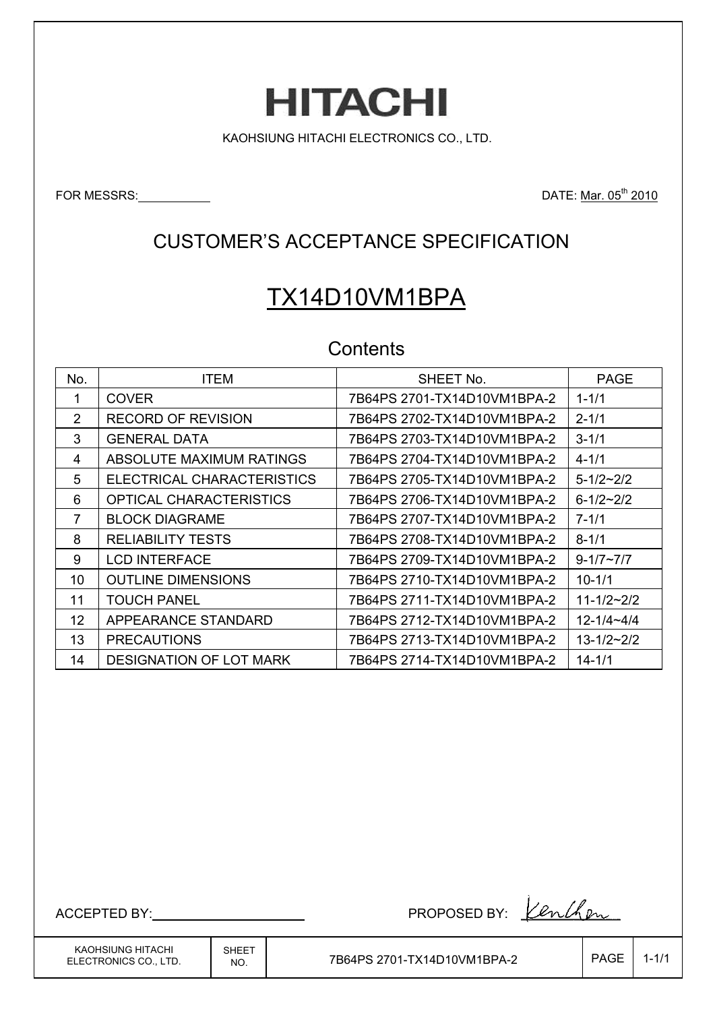# **HITACHI**

KAOHSIUNG HITACHI ELECTRONICS CO., LTD.

FOR MESSRS: <u>DATE: Mar. 05<sup>th</sup> 2010</u>

### CUSTOMER'S ACCEPTANCE SPECIFICATION

# TX14D10VM1BPA

#### **Contents**

| No. | <b>ITEM</b>                    | SHEET No.                   | <b>PAGE</b>        |
|-----|--------------------------------|-----------------------------|--------------------|
|     | <b>COVER</b>                   | 7B64PS 2701-TX14D10VM1BPA-2 | $1 - 1/1$          |
| 2   | <b>RECORD OF REVISION</b>      | 7B64PS 2702-TX14D10VM1BPA-2 | $2 - 1/1$          |
| 3   | GENERAL DATA                   | 7B64PS 2703-TX14D10VM1BPA-2 | $3 - 1/1$          |
| 4   | ABSOLUTE MAXIMUM RATINGS       | 7B64PS 2704-TX14D10VM1BPA-2 | $4 - 1/1$          |
| 5   | ELECTRICAL CHARACTERISTICS     | 7B64PS 2705-TX14D10VM1BPA-2 | $5 - 1/2 \sim 2/2$ |
| 6   | OPTICAL CHARACTERISTICS        | 7B64PS 2706-TX14D10VM1BPA-2 | $6 - 1/2 - 2/2$    |
| 7   | <b>BLOCK DIAGRAME</b>          | 7B64PS 2707-TX14D10VM1BPA-2 | $7 - 1/1$          |
| 8   | <b>RELIABILITY TESTS</b>       | 7B64PS 2708-TX14D10VM1BPA-2 | $8 - 1/1$          |
| 9   | <b>LCD INTERFACE</b>           | 7B64PS 2709-TX14D10VM1BPA-2 | $9 - 1/7 \sim 7/7$ |
| 10  | <b>OUTLINE DIMENSIONS</b>      | 7B64PS 2710-TX14D10VM1BPA-2 | $10 - 1/1$         |
| 11  | <b>TOUCH PANEL</b>             | 7B64PS 2711-TX14D10VM1BPA-2 | $11 - 1/2 - 2/2$   |
| 12  | APPEARANCE STANDARD            | 7B64PS 2712-TX14D10VM1BPA-2 | $12 - 1/4 - 4/4$   |
| 13  | <b>PRECAUTIONS</b>             | 7B64PS 2713-TX14D10VM1BPA-2 | $13 - 1/2 - 2/2$   |
| 14  | <b>DESIGNATION OF LOT MARK</b> | 7B64PS 2714-TX14D10VM1BPA-2 | $14 - 1/1$         |

KAOHSIUNG HITACHI ELECTRONICS CO., LTD.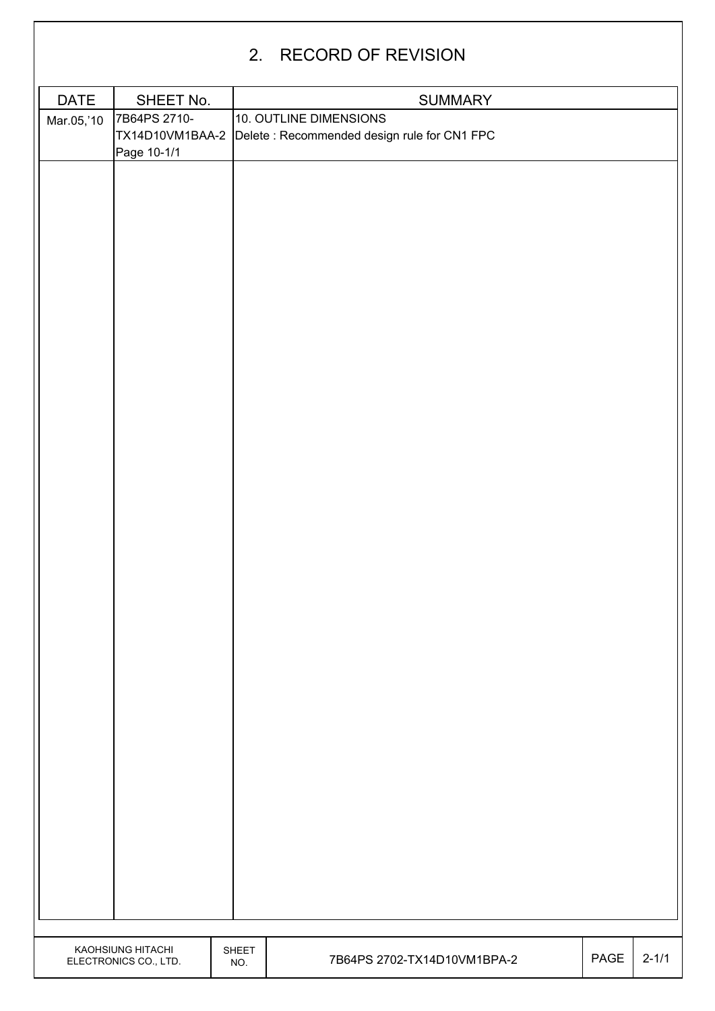|                           |                                            |              | 2. RECORD OF REVISION                                                                                   |      |           |
|---------------------------|--------------------------------------------|--------------|---------------------------------------------------------------------------------------------------------|------|-----------|
|                           | SHEET No.                                  |              |                                                                                                         |      |           |
| <b>DATE</b><br>Mar.05,'10 | 7B64PS 2710-<br>Page 10-1/1                |              | <b>SUMMARY</b><br>10. OUTLINE DIMENSIONS<br>TX14D10VM1BAA-2 Delete: Recommended design rule for CN1 FPC |      |           |
|                           |                                            |              |                                                                                                         |      |           |
|                           |                                            |              |                                                                                                         |      |           |
|                           |                                            |              |                                                                                                         |      |           |
|                           |                                            |              |                                                                                                         |      |           |
|                           |                                            |              |                                                                                                         |      |           |
|                           |                                            |              |                                                                                                         |      |           |
|                           |                                            |              |                                                                                                         |      |           |
|                           |                                            |              |                                                                                                         |      |           |
|                           |                                            |              |                                                                                                         |      |           |
|                           | KAOHSIUNG HITACHI<br>ELECTRONICS CO., LTD. | SHEET<br>NO. | 7B64PS 2702-TX14D10VM1BPA-2                                                                             | PAGE | $2 - 1/1$ |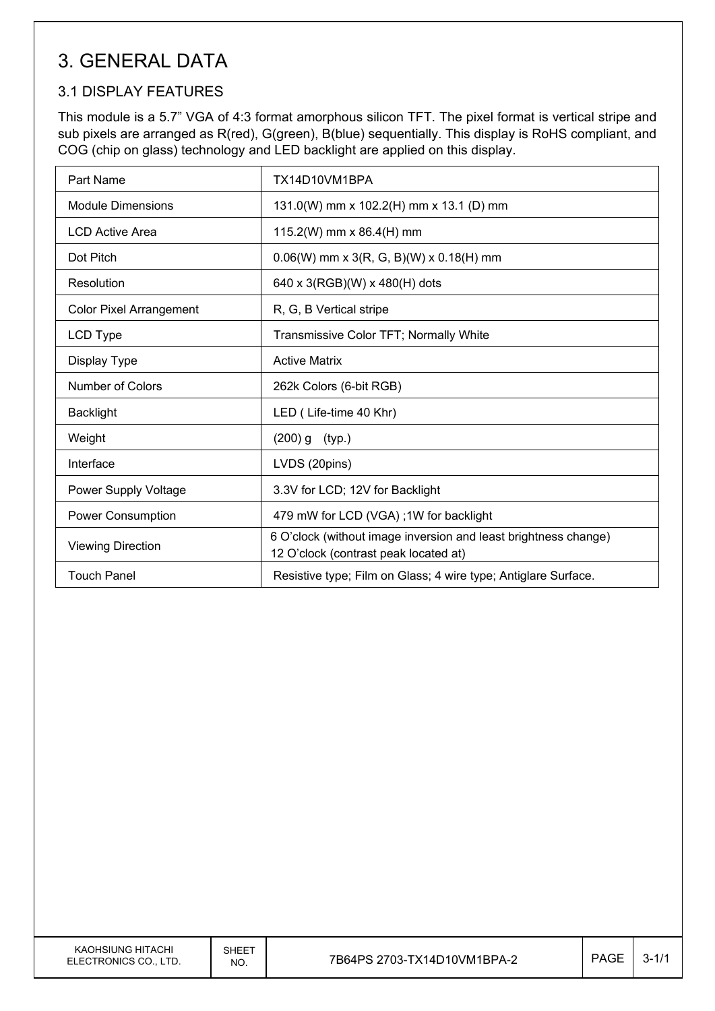# 3. GENERAL DATA

#### 3.1 DISPLAY FEATURES

This module is a 5.7" VGA of 4:3 format amorphous silicon TFT. The pixel format is vertical stripe and sub pixels are arranged as R(red), G(green), B(blue) sequentially. This display is RoHS compliant, and COG (chip on glass) technology and LED backlight are applied on this display.

| Part Name                      | TX14D10VM1BPA                                                                                            |
|--------------------------------|----------------------------------------------------------------------------------------------------------|
| <b>Module Dimensions</b>       | 131.0(W) mm x 102.2(H) mm x 13.1 (D) mm                                                                  |
| <b>LCD Active Area</b>         | 115.2(W) mm x 86.4(H) mm                                                                                 |
| Dot Pitch                      | $0.06(W)$ mm x 3(R, G, B)(W) x 0.18(H) mm                                                                |
| Resolution                     | 640 x 3(RGB)(W) x 480(H) dots                                                                            |
| <b>Color Pixel Arrangement</b> | R, G, B Vertical stripe                                                                                  |
| LCD Type                       | Transmissive Color TFT; Normally White                                                                   |
| Display Type                   | <b>Active Matrix</b>                                                                                     |
| Number of Colors               | 262k Colors (6-bit RGB)                                                                                  |
| <b>Backlight</b>               | LED (Life-time 40 Khr)                                                                                   |
| Weight                         | $(200)$ g<br>(typ.)                                                                                      |
| Interface                      | LVDS (20pins)                                                                                            |
| Power Supply Voltage           | 3.3V for LCD; 12V for Backlight                                                                          |
| <b>Power Consumption</b>       | 479 mW for LCD (VGA); 1W for backlight                                                                   |
| <b>Viewing Direction</b>       | 6 O'clock (without image inversion and least brightness change)<br>12 O'clock (contrast peak located at) |
| <b>Touch Panel</b>             | Resistive type; Film on Glass; 4 wire type; Antiglare Surface.                                           |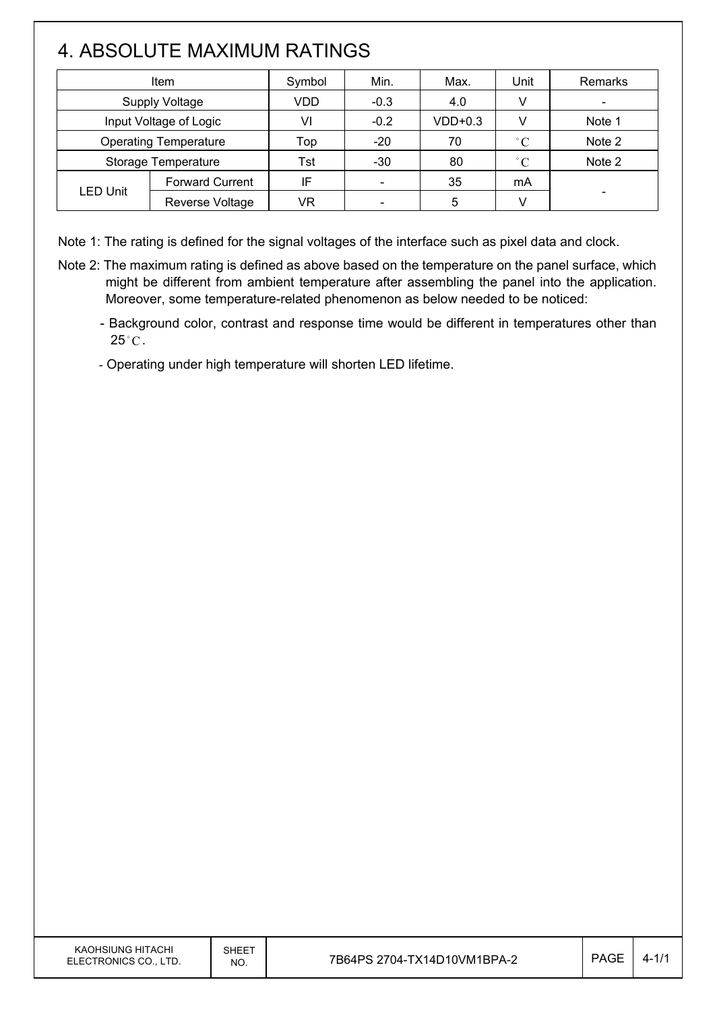# 4. ABSOLUTE MAXIMUM RATINGS

 $\mathsf{I}$ 

| <b>Item</b>                  |                        | Symbol | Min.                     | Max.      | Unit         | <b>Remarks</b> |
|------------------------------|------------------------|--------|--------------------------|-----------|--------------|----------------|
| <b>Supply Voltage</b>        |                        | VDD    | $-0.3$                   | 4.0       | V            |                |
| Input Voltage of Logic       |                        | VI     | $-0.2$                   | $VDD+0.3$ |              | Note 1         |
| <b>Operating Temperature</b> |                        | Top    | $-20$                    | 70        | $^{\circ}C$  | Note 2         |
| Storage Temperature          |                        | Tst    | $-30$                    | 80        | $^{\circ}$ C | Note 2         |
| <b>LED Unit</b>              | <b>Forward Current</b> | IF     |                          | 35        | mA           |                |
|                              | Reverse Voltage        | VR     | $\overline{\phantom{0}}$ | 5         |              |                |

Note 1: The rating is defined for the signal voltages of the interface such as pixel data and clock.

- Note 2: The maximum rating is defined as above based on the temperature on the panel surface, which might be different from ambient temperature after assembling the panel into the application. Moreover, some temperature-related phenomenon as below needed to be noticed:
	- Background color, contrast and response time would be different in temperatures other than  $25^{\circ}$ C.
	- Operating under high temperature will shorten LED lifetime.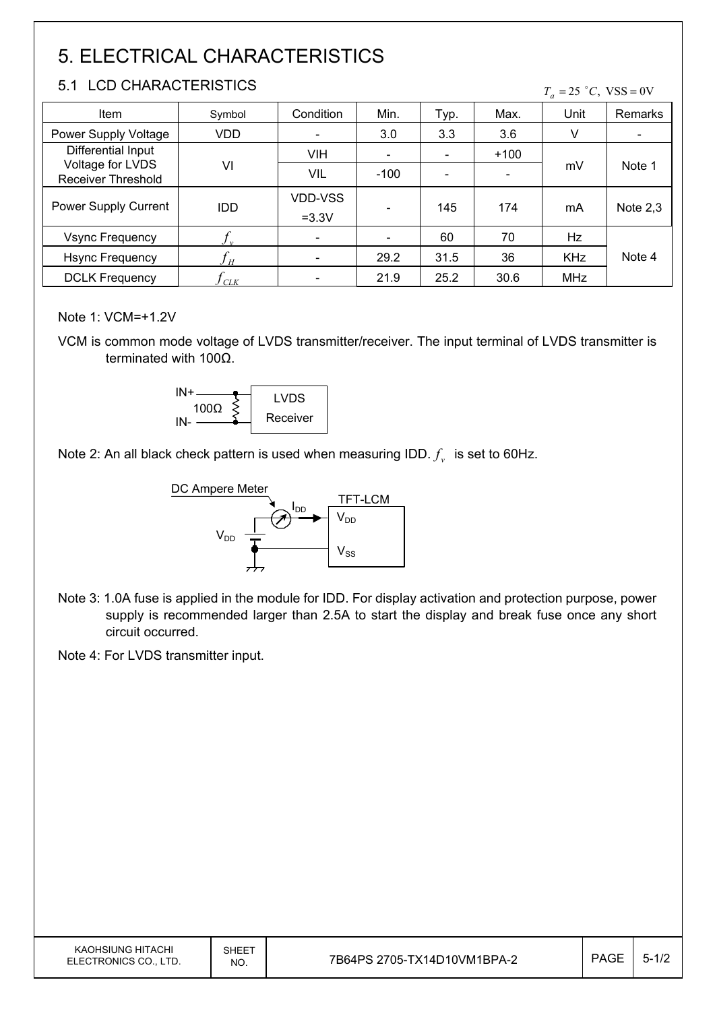# 5. ELECTRICAL CHARACTERISTICS

#### 5.1 LCD CHARACTERISTICS

 $T_a = 25$  °C, VSS = 0V

| <b>Item</b>                                   | Symbol     | Condition                 | Min.                     | Typ. | Max.   | Unit       | Remarks    |
|-----------------------------------------------|------------|---------------------------|--------------------------|------|--------|------------|------------|
| Power Supply Voltage                          | VDD        | $\overline{\phantom{a}}$  | 3.0                      | 3.3  | 3.6    | v          |            |
| Differential Input                            |            | <b>VIH</b>                | $\overline{\phantom{0}}$ |      | $+100$ | mV         | Note 1     |
| Voltage for LVDS<br><b>Receiver Threshold</b> | VI         | VIL                       | $-100$                   |      |        |            |            |
| Power Supply Current                          | <b>IDD</b> | <b>VDD-VSS</b><br>$=3.3V$ |                          | 145  | 174    | mA         | Note $2,3$ |
| <b>Vsync Frequency</b>                        |            | $\overline{\phantom{a}}$  |                          | 60   | 70     | Hz         |            |
| <b>Hsync Frequency</b>                        | H          | $\overline{\phantom{a}}$  | 29.2                     | 31.5 | 36     | <b>KHz</b> | Note 4     |
| <b>DCLK Frequency</b>                         | CLK        | $\overline{\phantom{a}}$  | 21.9                     | 25.2 | 30.6   | <b>MHz</b> |            |

Note 1: VCM=+1.2V

VCM is common mode voltage of LVDS transmitter/receiver. The input terminal of LVDS transmitter is terminated with  $100\Omega$ .



Note 2: An all black check pattern is used when measuring IDD.  $f_v$  is set to 60Hz.



Note 3: 1.0A fuse is applied in the module for IDD. For display activation and protection purpose, power supply is recommended larger than 2.5A to start the display and break fuse once any short circuit occurred.

Note 4: For LVDS transmitter input.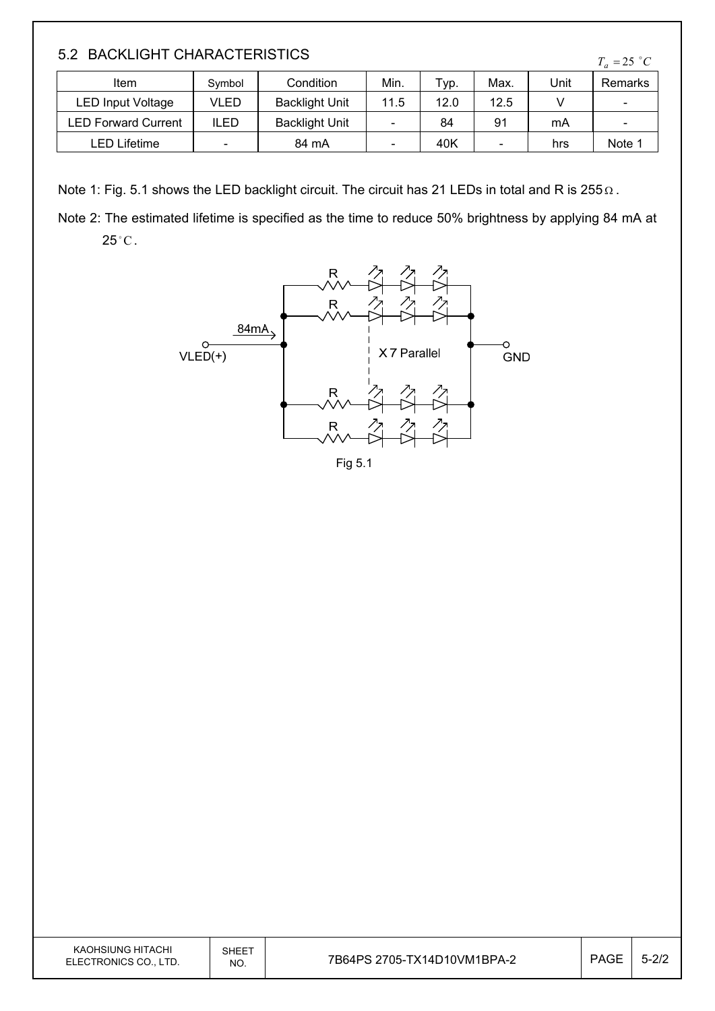#### 5.2 BACKLIGHT CHARACTERISTICS

| Item                       | Symbol | Condition             | Min. | Typ. | Max. | Unit | Remarks                  |
|----------------------------|--------|-----------------------|------|------|------|------|--------------------------|
| LED Input Voltage          | VLED   | <b>Backlight Unit</b> | 11.5 | 12.0 | 12.5 |      | $\overline{\phantom{a}}$ |
| <b>LED Forward Current</b> | ILED   | <b>Backlight Unit</b> |      | 84   | 91   | mA   | $\overline{\phantom{a}}$ |
| LED Lifetime               | -      | 84 mA                 |      | 40K  | -    | hrs  | Note 1                   |

Note 1: Fig. 5.1 shows the LED backlight circuit. The circuit has 21 LEDs in total and R is 255  $\Omega$ .

Note 2: The estimated lifetime is specified as the time to reduce 50% brightness by applying 84 mA at  $25^{\circ}$ C.



KAOHSIUNG HITACHI ELECTRONICS CO., LTD.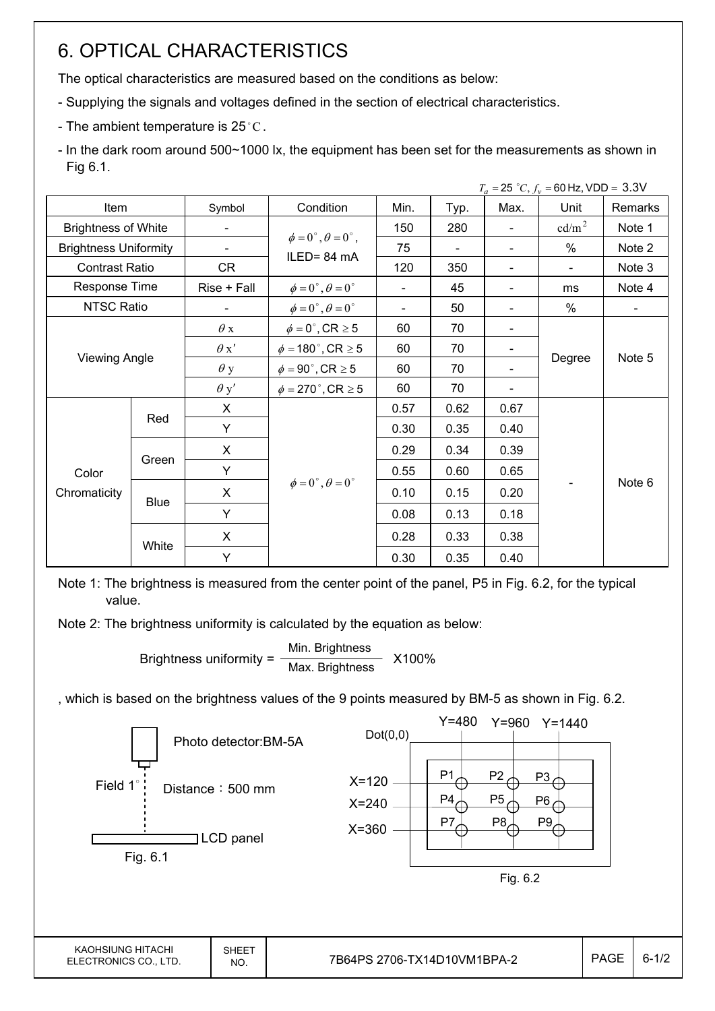# 6. OPTICAL CHARACTERISTICS

The optical characteristics are measured based on the conditions as below:

- Supplying the signals and voltages defined in the section of electrical characteristics.
- The ambient temperature is 25 $^{\circ}$ C.

- In the dark room around 500~1000 lx, the equipment has been set for the measurements as shown in Fig 6.1.

|                              |               |             |                                         |                          |      |               | $T_a = 25 °C$ , $f_v = 60$ Hz, VDD = 3.3V |         |
|------------------------------|---------------|-------------|-----------------------------------------|--------------------------|------|---------------|-------------------------------------------|---------|
| Item                         |               | Symbol      | Condition                               | Min.                     | Typ. | Max.          | Unit                                      | Remarks |
| <b>Brightness of White</b>   |               |             |                                         | 150                      | 280  |               | cd/m <sup>2</sup>                         | Note 1  |
| <b>Brightness Uniformity</b> |               |             | $\phi = 0^{\circ}, \theta = 0^{\circ},$ | 75                       |      | -             | $\%$                                      | Note 2  |
| <b>Contrast Ratio</b>        |               | CR          | ILED=84 mA                              | 120                      | 350  |               | $\overline{\phantom{0}}$                  | Note 3  |
| Response Time                |               | Rise + Fall | $\phi = 0^{\circ}, \theta = 0^{\circ}$  | $\overline{\phantom{0}}$ | 45   |               | ms                                        | Note 4  |
| <b>NTSC Ratio</b>            |               |             | $\phi = 0^{\circ}, \theta = 0^{\circ}$  | $\blacksquare$           | 50   |               | $\%$                                      | $\sim$  |
|                              |               | $\theta$ x  | $\phi = 0^\circ$ , CR $\geq 5$          | 60                       | 70   | $\frac{1}{2}$ |                                           | Note 5  |
|                              |               | $\theta x'$ | $\phi = 180^\circ$ , CR $\geq 5$        | 60                       | 70   | -             |                                           |         |
| <b>Viewing Angle</b>         |               | $\theta$ y  | $\phi = 90^\circ$ , CR $\geq 5$         | 60                       | 70   |               | Degree                                    |         |
|                              |               | $\theta$ y' | $\phi = 270$ °, CR $\geq 5$             | 60                       | 70   |               |                                           |         |
|                              | X<br>Red<br>Y |             |                                         | 0.57                     | 0.62 | 0.67          |                                           |         |
|                              |               |             |                                         | 0.30                     | 0.35 | 0.40          |                                           |         |
|                              |               | X           |                                         | 0.29                     | 0.34 | 0.39          |                                           |         |
| Color                        | Green         | Y           |                                         | 0.55                     | 0.60 | 0.65          |                                           |         |
| Chromaticity                 |               | X           | $\phi = 0^{\circ}, \theta = 0^{\circ}$  | 0.10                     | 0.15 | 0.20          |                                           | Note 6  |
|                              | <b>Blue</b>   | Y           |                                         | 0.08                     | 0.13 | 0.18          |                                           |         |
|                              | White         | X           |                                         | 0.28                     | 0.33 | 0.38          |                                           |         |
|                              |               | Y           |                                         | 0.30                     | 0.35 | 0.40          |                                           |         |

Note 1: The brightness is measured from the center point of the panel, P5 in Fig. 6.2, for the typical value.

Note 2: The brightness uniformity is calculated by the equation as below:

Brightness uniformity =  $\frac{\text{Min.~Brighness}}{\text{Min.~Brighness}}$  X100% Max. Brightness

, which is based on the brightness values of the 9 points measured by BM-5 as shown in Fig. 6.2.

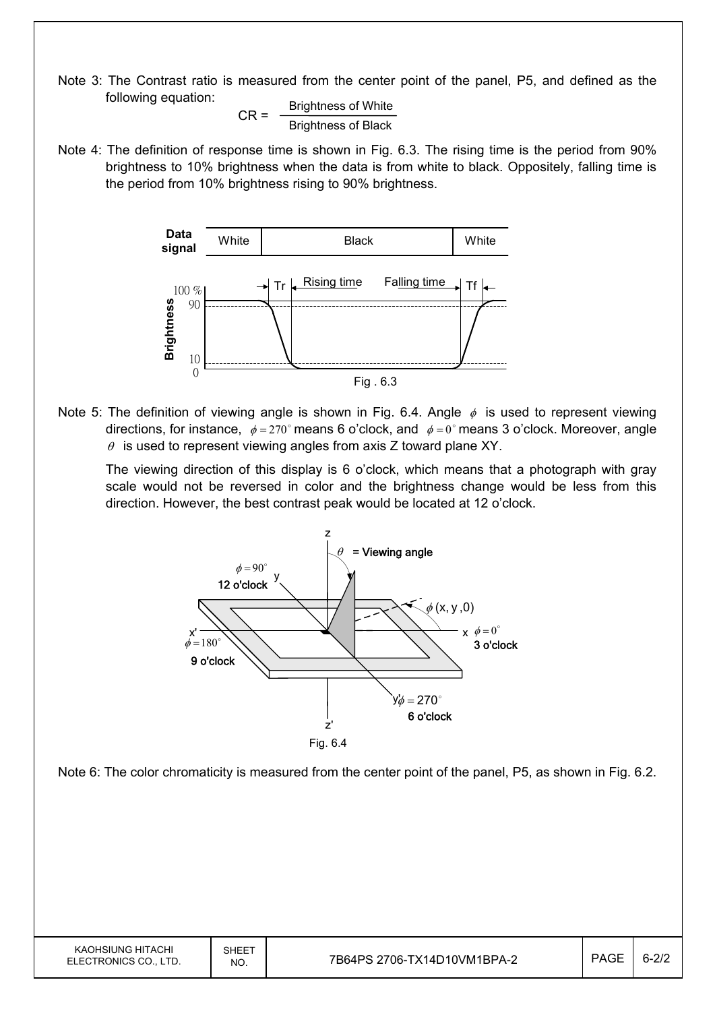Note 3: The Contrast ratio is measured from the center point of the panel, P5, and defined as the following equation:

$$
CR = \frac{Brightness \space of \space White}{Brightness \space of \space Black}
$$

Note 4: The definition of response time is shown in Fig. 6.3. The rising time is the period from 90% brightness to 10% brightness when the data is from white to black. Oppositely, falling time is the period from 10% brightness rising to 90% brightness.



Note 5: The definition of viewing angle is shown in Fig. 6.4. Angle  $\phi$  is used to represent viewing directions, for instance,  $\phi = 270^\circ$  means 6 o'clock, and  $\phi = 0^\circ$  means 3 o'clock. Moreover, angle  $\theta$  is used to represent viewing angles from axis Z toward plane XY.

 The viewing direction of this display is 6 o'clock, which means that a photograph with gray scale would not be reversed in color and the brightness change would be less from this direction. However, the best contrast peak would be located at 12 o'clock.



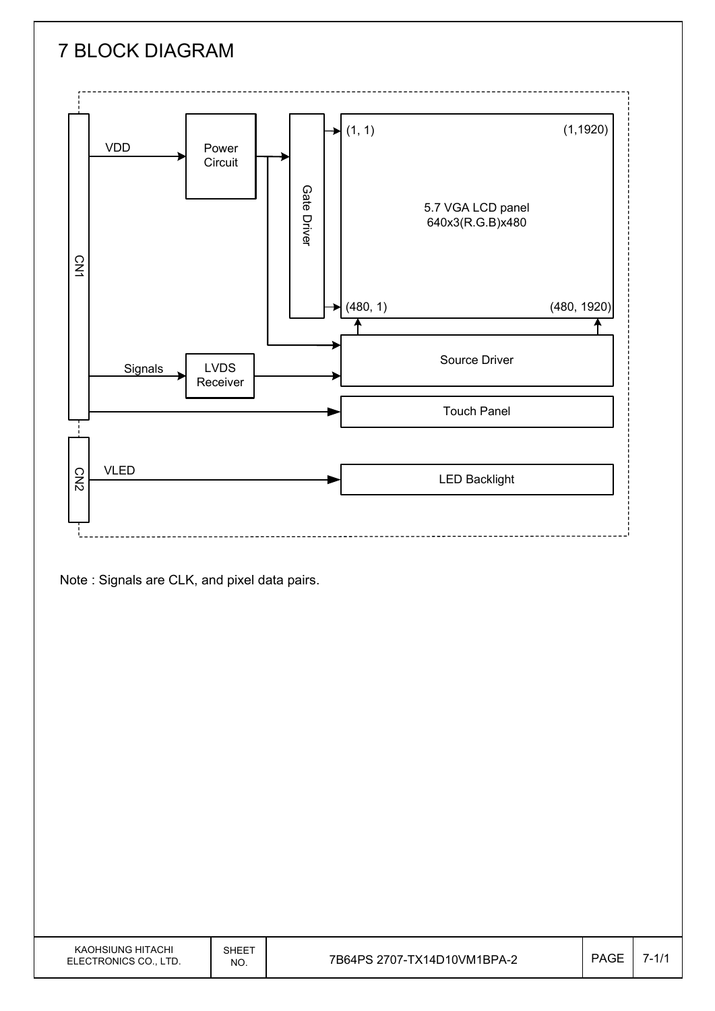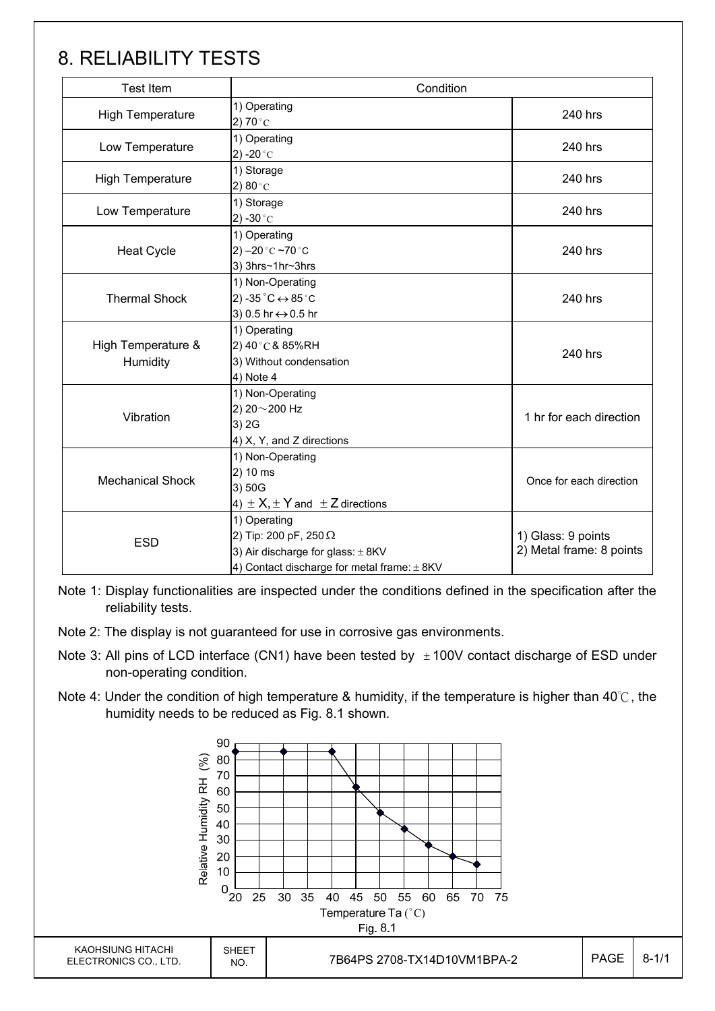## 8. RELIABILITY TESTS

| <b>Test Item</b>               | Condition                                                                                                                            |                                                |
|--------------------------------|--------------------------------------------------------------------------------------------------------------------------------------|------------------------------------------------|
| <b>High Temperature</b>        | 1) Operating<br>2) 70 $^{\circ}$ C                                                                                                   | 240 hrs                                        |
| Low Temperature                | 1) Operating<br>2) -20 $^{\circ}$ C                                                                                                  | 240 hrs                                        |
| <b>High Temperature</b>        | 1) Storage<br>2) $80^{\circ}$ C                                                                                                      | 240 hrs                                        |
| Low Temperature                | 1) Storage<br>2) -30 $^{\circ}$ C                                                                                                    | 240 hrs                                        |
| <b>Heat Cycle</b>              | 1) Operating<br>2) $-20$ °C $-70$ °C<br>3) 3hrs~1hr~3hrs                                                                             | 240 hrs                                        |
| <b>Thermal Shock</b>           | 1) Non-Operating<br>2) -35 $^{\circ}$ C $\leftrightarrow$ 85 $^{\circ}$ C<br>3) 0.5 hr ↔ 0.5 hr                                      | 240 hrs                                        |
| High Temperature &<br>Humidity | 1) Operating<br>2) 40°C & 85%RH<br>3) Without condensation<br>4) Note 4                                                              | 240 hrs                                        |
| Vibration                      | 1) Non-Operating<br>2) 20~200 Hz<br>3) 2G<br>4) X, Y, and Z directions                                                               | 1 hr for each direction                        |
| <b>Mechanical Shock</b>        | 1) Non-Operating<br>2) 10 ms<br>3) 50G<br>4) $\pm$ X, $\pm$ Y and $\pm$ Z directions                                                 | Once for each direction                        |
| <b>ESD</b>                     | 1) Operating<br>2) Tip: 200 pF, 250 $\Omega$<br>3) Air discharge for glass: $\pm$ 8KV<br>4) Contact discharge for metal frame: ± 8KV | 1) Glass: 9 points<br>2) Metal frame: 8 points |

Note 1: Display functionalities are inspected under the conditions defined in the specification after the reliability tests.

Note 2: The display is not guaranteed for use in corrosive gas environments.

- Note 3: All pins of LCD interface (CN1) have been tested by  $\pm 100V$  contact discharge of ESD under non-operating condition.
- Note 4: Under the condition of high temperature & humidity, if the temperature is higher than 40°C, the humidity needs to be reduced as Fig. 8.1 shown.

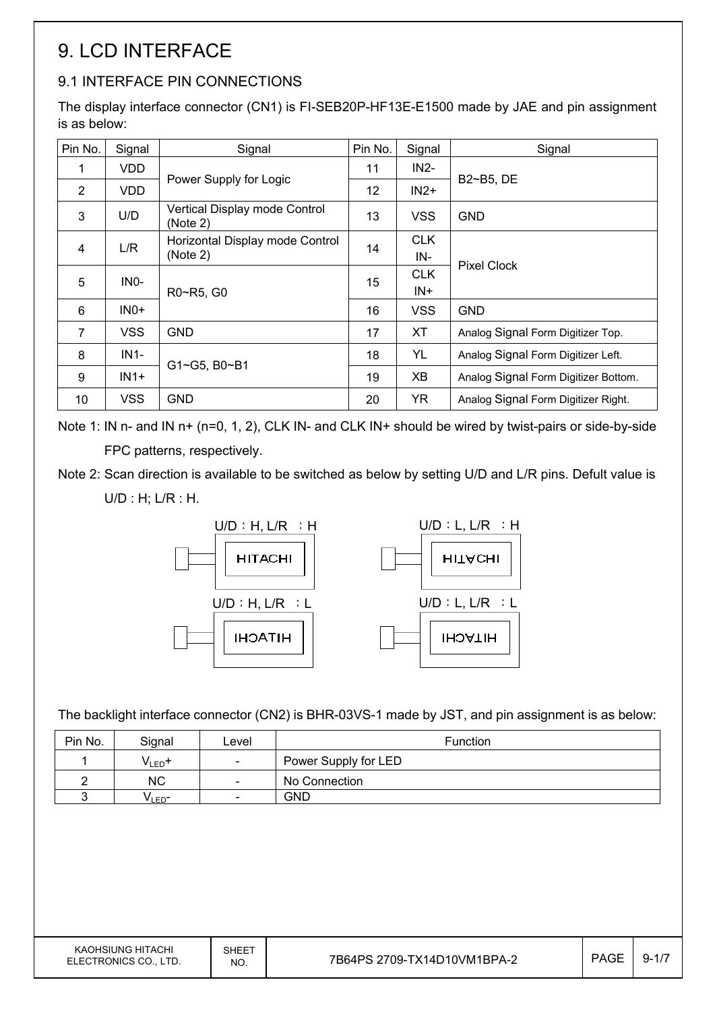# 9. LCD INTERFACE

### 9.1 INTERFACE PIN CONNECTIONS

The display interface connector (CN1) is FI-SEB20P-HF13E-E1500 made by JAE and pin assignment is as below:

| Pin No.        | Signal            | Signal                                    | Pin No. | Signal     | Signal                               |  |  |
|----------------|-------------------|-------------------------------------------|---------|------------|--------------------------------------|--|--|
| 1              | VDD.              |                                           | 11      | $IN2-$     | B2~B5, DE                            |  |  |
| 2              | <b>VDD</b>        | Power Supply for Logic                    | 12      | $IN2+$     |                                      |  |  |
| 3              | U/D               | Vertical Display mode Control<br>(Note 2) | 13      | <b>VSS</b> | <b>GND</b>                           |  |  |
| $\overline{4}$ | L/R               | Horizontal Display mode Control           | 14      | <b>CLK</b> |                                      |  |  |
|                |                   | (Note 2)                                  |         | IN-        | <b>Pixel Clock</b>                   |  |  |
| 5              | IN <sub>0</sub> - | R0~R5, G0                                 | 15      | <b>CLK</b> |                                      |  |  |
|                |                   |                                           |         | $IN+$      |                                      |  |  |
| 6              | $INO+$            |                                           | 16      | <b>VSS</b> | <b>GND</b>                           |  |  |
| $\overline{7}$ | <b>VSS</b>        | <b>GND</b>                                | 17      | <b>XT</b>  | Analog Signal Form Digitizer Top.    |  |  |
| 8              | $IN1-$            | G1~G5, B0~B1                              | 18      | YL         | Analog Signal Form Digitizer Left.   |  |  |
| 9              | $IN1+$            |                                           | 19      | XB         | Analog Signal Form Digitizer Bottom. |  |  |
| 10             | <b>VSS</b>        | <b>GND</b>                                | 20      | <b>YR</b>  | Analog Signal Form Digitizer Right.  |  |  |

Note 1: IN n- and IN n+ (n=0, 1, 2), CLK IN- and CLK IN+ should be wired by twist-pairs or side-by-side FPC patterns, respectively.

Note 2: Scan direction is available to be switched as below by setting U/D and L/R pins. Defult value is

U/D : H; L/R : H.



The backlight interface connector (CN2) is BHR-03VS-1 made by JST, and pin assignment is as below:

| Pin No. | Signal            | Level                    | <b>Function</b>      |
|---------|-------------------|--------------------------|----------------------|
|         | $V_{LED}$ +       | $\overline{\phantom{a}}$ | Power Supply for LED |
|         | <b>NC</b>         | $\overline{\phantom{a}}$ | No Connection        |
|         | VLED <sup>-</sup> | $\overline{\phantom{a}}$ | GND                  |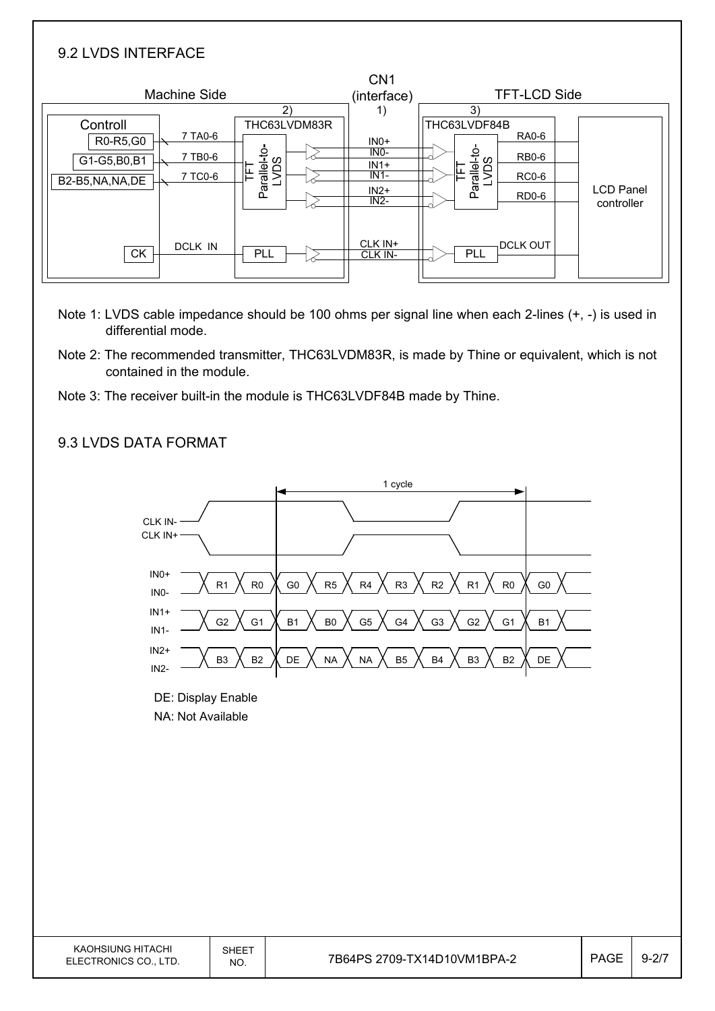| 9.2 LVDS INTERFACE                                       |                                                                            |                                                          |                                                                                                                 |                                |
|----------------------------------------------------------|----------------------------------------------------------------------------|----------------------------------------------------------|-----------------------------------------------------------------------------------------------------------------|--------------------------------|
| <b>Machine Side</b>                                      | 2)                                                                         | CN <sub>1</sub><br>(interface)<br>1)                     | <b>TFT-LCD Side</b><br>3)                                                                                       |                                |
| Controll<br>R0-R5,G0<br>G1-G5,B0,B1<br>B2-B5, NA, NA, DE | THC63LVDM83R<br>7 TA0-6<br>Parallel-to-<br>LVDS<br>7 TB0-6<br>띹<br>7 TC0-6 | $INO+$<br>$INO-$<br>$IN1+$<br>$IN1-$<br>$IN2+$<br>$IN2-$ | THC63LVDF84B<br><b>RA0-6</b><br>Parallel-to-<br>LVDS<br><b>RB0-6</b><br>뇬<br><b>RC0-6</b><br>RD <sub>0</sub> -6 | <b>LCD Panel</b><br>controller |
| <b>CK</b>                                                | <b>DCLK IN</b><br>PLL                                                      | CLK IN+<br>CLK IN-                                       | <b>DCLK OUT</b><br>PLL                                                                                          |                                |

- Note 1: LVDS cable impedance should be 100 ohms per signal line when each 2-lines (+, -) is used in differential mode.
- Note 2: The recommended transmitter, THC63LVDM83R, is made by Thine or equivalent, which is not contained in the module.
- Note 3: The receiver built-in the module is THC63LVDF84B made by Thine.

#### 9.3 LVDS DATA FORMAT

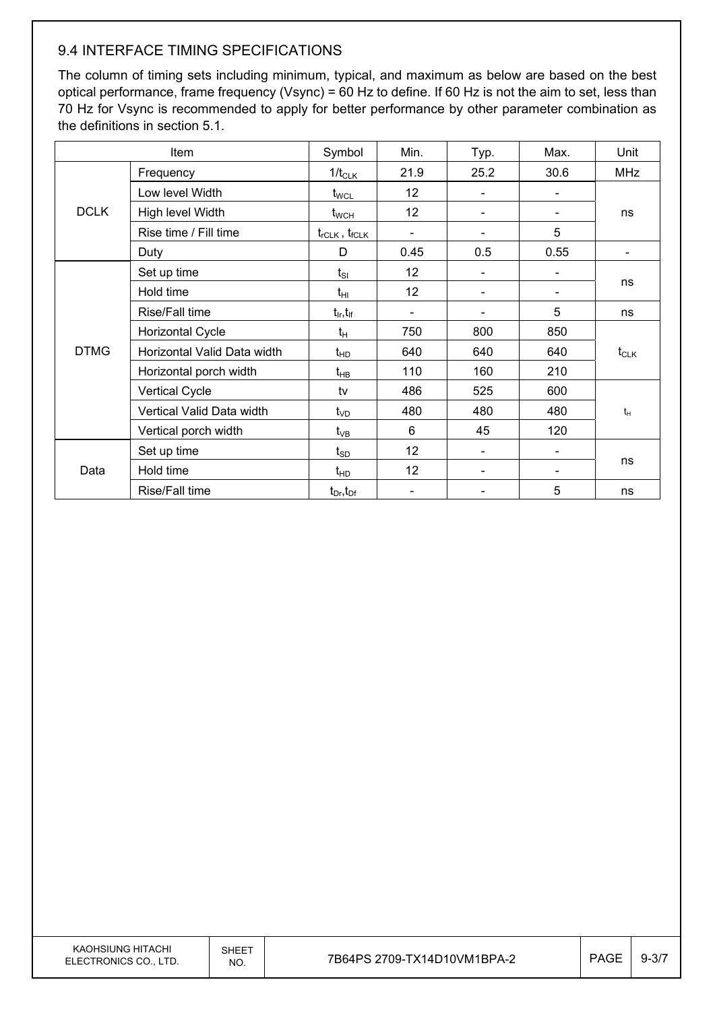#### 9.4 INTERFACE TIMING SPECIFICATIONS

The column of timing sets including minimum, typical, and maximum as below are based on the best optical performance, frame frequency (Vsync) = 60 Hz to define. If 60 Hz is not the aim to set, less than 70 Hz for Vsync is recommended to apply for better performance by other parameter combination as the definitions in section 5.1.

| Item        |                             | Symbol                          | Min.                     | Typ. | Max. | Unit       |  |
|-------------|-----------------------------|---------------------------------|--------------------------|------|------|------------|--|
|             | Frequency                   | $1/t_{CLK}$                     | 21.9                     | 25.2 | 30.6 | <b>MHz</b> |  |
|             | Low level Width             | $t_{\text{WCL}}$                | 12                       |      |      |            |  |
| <b>DCLK</b> | High level Width            | $t_{\scriptscriptstyle\rm WCH}$ | 12                       |      |      | ns         |  |
|             | Rise time / Fill time       | $t_{rCLK}$ , $t_{fCLK}$         | $\overline{\phantom{a}}$ |      | 5    |            |  |
|             | Duty                        | D                               | 0.45                     | 0.5  | 0.55 |            |  |
|             | Set up time                 | $t_{SI}$                        | 12                       |      |      |            |  |
|             | Hold time                   | $t_{\rm HI}$                    | 12                       |      |      | ns         |  |
|             | Rise/Fall time              | $t_{\sf lr}, t_{\sf lf}$        |                          |      | 5    | ns         |  |
|             | <b>Horizontal Cycle</b>     | $t_H$                           | 750                      | 800  | 850  |            |  |
| <b>DTMG</b> | Horizontal Valid Data width | $t_{HD}$                        | 640                      | 640  | 640  | $t_{CLK}$  |  |
|             | Horizontal porch width      | $t_{HB}$                        | 110                      | 160  | 210  |            |  |
|             | <b>Vertical Cycle</b>       | tv                              | 486                      | 525  | 600  |            |  |
|             | Vertical Valid Data width   | $t_{VD}$                        | 480                      | 480  | 480  | $t_H$      |  |
|             | Vertical porch width        | $t_{VB}$                        | 6                        | 45   | 120  |            |  |
| Data        | Set up time                 | $\mathfrak{t}_{\texttt{SD}}$    | 12                       |      |      |            |  |
|             | Hold time                   | $t_{HD}$                        | 12                       |      |      | ns         |  |
|             | Rise/Fall time              | $t_{Dr}$ , $t_{Dr}$             |                          |      | 5    | ns         |  |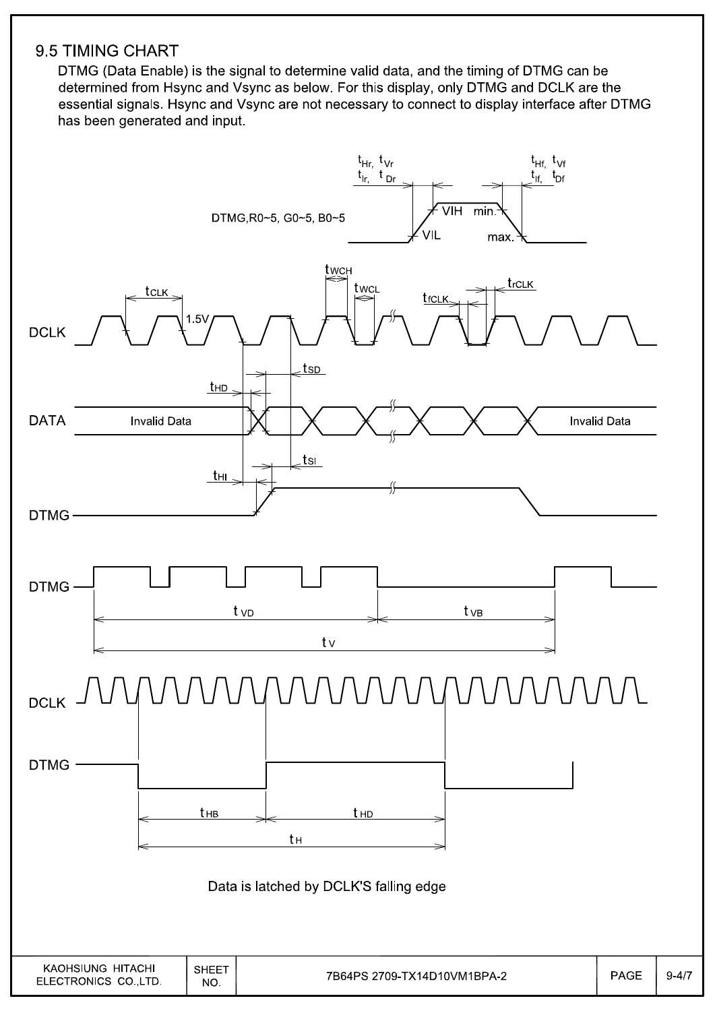#### 9.5 TIMING CHART

DTMG (Data Enable) is the signal to determine valid data, and the timing of DTMG can be determined from Hsync and Vsync as below. For this display, only DTMG and DCLK are the essential signals. Hsync and Vsync are not necessary to connect to display interface after DTMG has been generated and input.

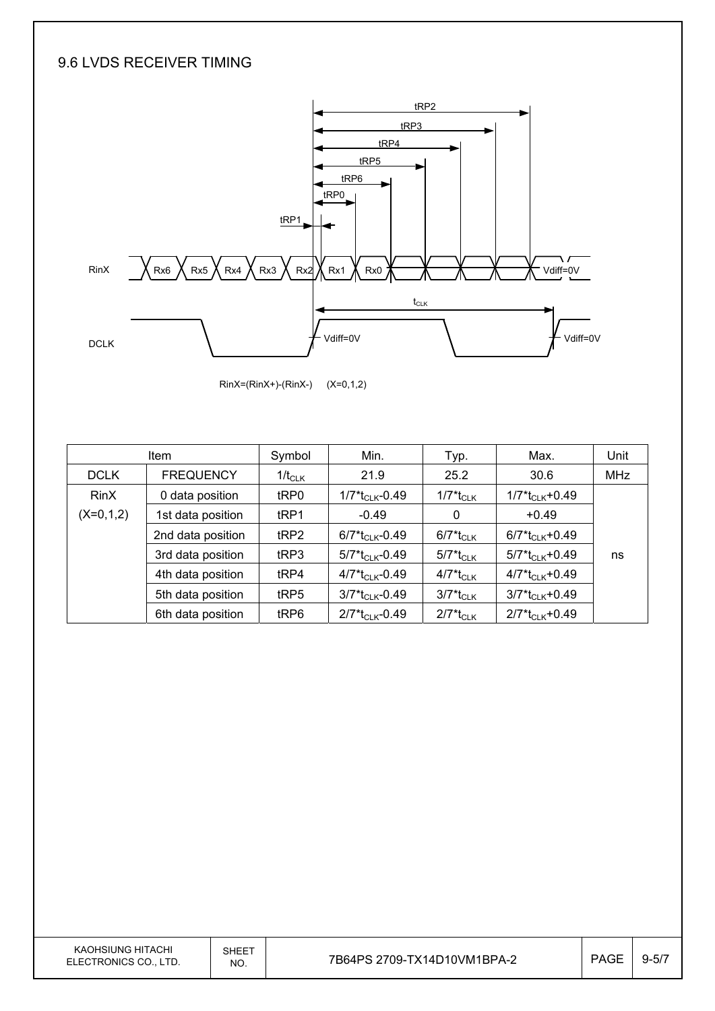#### 9.6 LVDS RECEIVER TIMING





|             | <b>Item</b>       | Symbol           | Min.                                      | Typ.                                | Max.                                       | Unit       |
|-------------|-------------------|------------------|-------------------------------------------|-------------------------------------|--------------------------------------------|------------|
| <b>DCLK</b> | <b>FREQUENCY</b>  | $1/t_{CLK}$      | 21.9                                      | 25.2                                | 30.6                                       | <b>MHz</b> |
| <b>RinX</b> | 0 data position   | tRP0             | 1/7*t <sub>CLK</sub> -0.49                | $1/7$ <sup>*</sup> t <sub>CLK</sub> | $1/7$ <sup>*</sup> t <sub>CLK</sub> +0.49  |            |
| $(X=0,1,2)$ | 1st data position | t <sub>RP1</sub> | $-0.49$                                   | 0                                   | $+0.49$                                    |            |
|             | 2nd data position | tRP2             | $6/7$ <sup>*</sup> t <sub>CLK</sub> -0.49 | 6/7*t <sub>CLK</sub>                | $6/7$ <sup>*</sup> t <sub>Cl K</sub> +0.49 |            |
|             | 3rd data position | tRP3             | $5/7$ <sup>*</sup> t <sub>CLK</sub> -0.49 | 5/7*t <sub>CLK</sub>                | $5/7$ <sup>*</sup> t <sub>Cl K</sub> +0.49 | ns         |
|             | 4th data position | t <sub>RP4</sub> | $4/7$ *t <sub>CLK</sub> -0.49             | 4/7*t <sub>CLK</sub>                | $4/7$ <sup>*</sup> t <sub>CLK</sub> +0.49  |            |
|             | 5th data position | tRP5             | $3/7$ <sup>*</sup> t <sub>CLK</sub> -0.49 | 3/7*t <sub>CLK</sub>                | $3/7*t_{CLK}+0.49$                         |            |
|             | 6th data position | tRP6             | $2/7$ <sup>*</sup> t <sub>CLK</sub> -0.49 | $2/7$ <sup>*</sup> t <sub>CLK</sub> | $2/7*t_{CLK}+0.49$                         |            |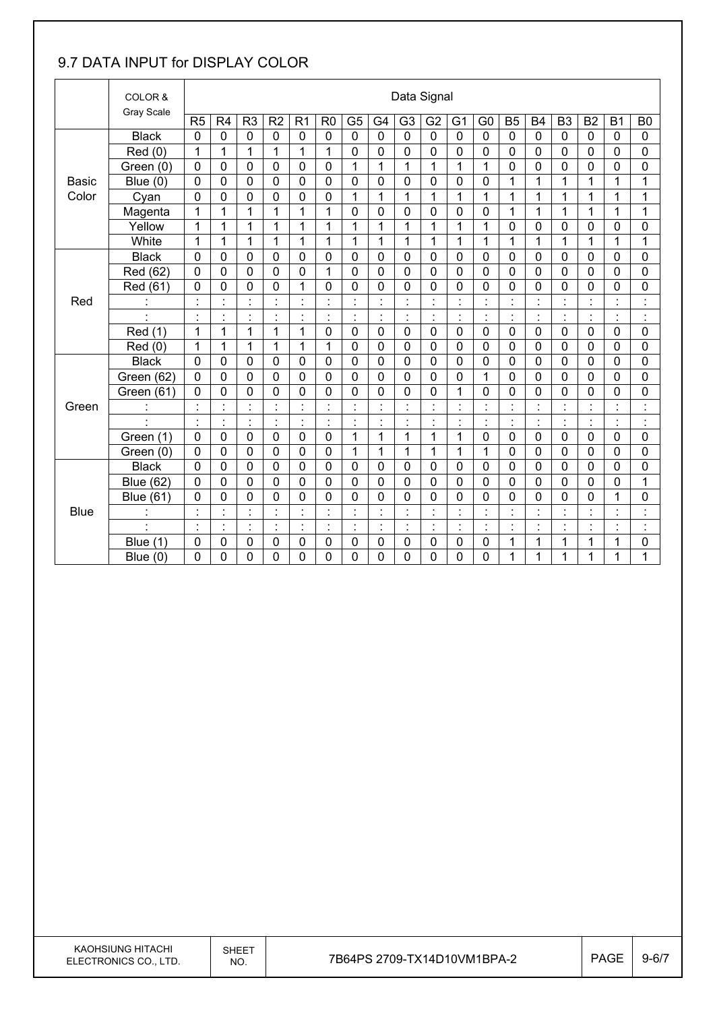#### 9.7 DATA INPUT for DISPLAY COLOR

|              | COLOR &           |                      | Data Signal    |                                            |                |                                        |                |                      |                      |                |                |                      |                                  |                          |                                        |                |                      |                          |                           |
|--------------|-------------------|----------------------|----------------|--------------------------------------------|----------------|----------------------------------------|----------------|----------------------|----------------------|----------------|----------------|----------------------|----------------------------------|--------------------------|----------------------------------------|----------------|----------------------|--------------------------|---------------------------|
|              | <b>Gray Scale</b> | R <sub>5</sub>       | R <sub>4</sub> | R <sub>3</sub>                             | R <sub>2</sub> | R <sub>1</sub>                         | R <sub>0</sub> | G <sub>5</sub>       | G4                   | G <sub>3</sub> | G <sub>2</sub> | G <sub>1</sub>       | G <sub>0</sub>                   | B <sub>5</sub>           | <b>B4</b>                              | B <sub>3</sub> | B <sub>2</sub>       | <b>B1</b>                | B <sub>0</sub>            |
|              | <b>Black</b>      | $\mathbf 0$          | $\mathbf 0$    | $\mathbf 0$                                | $\mathbf 0$    | $\mathbf 0$                            | 0              | $\mathbf 0$          | $\mathbf 0$          | $\mathbf 0$    | $\mathbf 0$    | $\mathbf 0$          | $\mathbf 0$                      | $\mathbf 0$              | $\mathbf 0$                            | $\mathbf 0$    | $\mathbf 0$          | $\mathbf 0$              | $\mathbf 0$               |
|              | Red (0)           | 1                    | 1              | 1                                          | 1              | 1                                      | 1              | $\mathbf 0$          | 0                    | $\mathbf 0$    | $\mathbf 0$    | 0                    | 0                                | $\mathbf 0$              | 0                                      | $\mathbf 0$    | $\mathbf 0$          | $\mathbf 0$              | 0                         |
|              | Green (0)         | $\mathbf 0$          | $\mathbf 0$    | 0                                          | $\mathbf 0$    | 0                                      | 0              | 1                    | 1                    | 1              | 1              | 1                    | 1                                | $\mathbf 0$              | 0                                      | $\mathbf 0$    | $\mathbf 0$          | 0                        | 0                         |
| <b>Basic</b> | Blue $(0)$        | $\mathbf 0$          | 0              | $\mathbf 0$                                | $\mathbf 0$    | 0                                      | $\mathbf 0$    | $\overline{0}$       | $\overline{0}$       | $\overline{0}$ | $\mathbf 0$    | 0                    | 0                                | 1                        | 1                                      | 1              | $\mathbf 1$          | 1                        | $\mathbf{1}$              |
| Color        | Cyan              | $\mathbf 0$          | 0              | $\mathbf 0$                                | $\mathbf 0$    | 0                                      | $\mathbf 0$    | 1                    | 1                    | 1              | 1              | 1                    | 1                                | 1                        | 1                                      | 1              | $\mathbf 1$          | 1                        | 1                         |
|              | Magenta           | 1                    | 1              | 1                                          | 1              | 1                                      | 1              | 0                    | 0                    | 0              | 0              | 0                    | 0                                | 1                        | 1                                      | 1              | 1                    | 1                        | 1                         |
|              | Yellow            | 1                    | 1              | 1                                          | $\overline{1}$ | $\mathbf{1}$                           | 1              | $\mathbf{1}$         | $\mathbf{1}$         | $\mathbf{1}$   | $\mathbf{1}$   | $\mathbf{1}$         | $\mathbf{1}$                     | $\mathbf 0$              | 0                                      | $\mathbf 0$    | $\mathbf 0$          | 0                        | $\mathbf 0$               |
|              | White             | 1                    | 1              | 1                                          | 1              | $\mathbf{1}$                           | 1              | 1                    | $\mathbf{1}$         | 1              | 1              | 1                    | 1                                | 1                        | 1                                      | 1              | 1                    | 1                        | $\mathbf{1}$              |
|              | <b>Black</b>      | $\mathbf 0$          | 0              | $\mathbf 0$                                | $\mathbf 0$    | 0                                      | $\mathbf{0}$   | 0                    | 0                    | 0              | 0              | 0                    | 0                                | $\mathbf 0$              | 0                                      | $\mathbf 0$    | $\mathbf 0$          | 0                        | 0                         |
|              | Red (62)          | 0                    | 0              | $\mathbf 0$                                | $\mathbf 0$    | 0                                      | 1              | $\mathbf 0$          | 0                    | 0              | 0              | 0                    | $\mathbf 0$                      | $\mathbf 0$              | 0                                      | $\mathbf 0$    | $\mathbf 0$          | 0                        | 0                         |
|              | Red (61)          | $\mathbf 0$          | 0              | 0                                          | 0              | 1                                      | $\mathbf 0$    | 0                    | $\mathbf 0$          | $\overline{0}$ | $\mathbf 0$    | 0                    | 0                                | 0                        | 0                                      | $\mathbf 0$    | 0                    | $\mathbf 0$              | 0                         |
| Red          |                   | $\blacksquare$       | $\blacksquare$ | $\blacksquare$                             | $\cdot$        | $\cdot$                                |                | $\cdot$              | $\blacksquare$       |                | $\cdot$        |                      | $\blacksquare$<br>$\blacksquare$ | $\cdot$                  |                                        |                | $\ddot{\phantom{a}}$ | $\cdot$                  | $\cdot$                   |
|              | $\cdot$           | $\ddot{\phantom{a}}$ | ł,             | $\ddot{\phantom{a}}$                       | $\ddot{\cdot}$ | $\ddot{\phantom{a}}$                   | $\blacksquare$ | $\ddot{\phantom{a}}$ | $\ddot{\phantom{a}}$ | t              | $\ddot{\cdot}$ | $\ddot{\phantom{a}}$ | ÷                                | $\ddot{\phantom{a}}$     | $\ddot{\cdot}$                         | ÷              | ÷                    | $\ddot{\phantom{a}}$     | İ                         |
|              | Red (1)           | 1                    | 1              | 1                                          | 1              | 1                                      | $\mathbf 0$    | $\mathbf 0$          | 0                    | $\mathbf 0$    | $\mathbf 0$    | $\mathbf 0$          | $\mathbf 0$                      | $\mathbf 0$              | 0                                      | $\mathbf 0$    | $\mathbf 0$          | $\mathbf 0$              | 0                         |
|              | Red (0)           | 1                    | 1              | 1                                          | 1              | 1                                      | 1              | 0                    | 0                    | 0              | 0              | 0                    | 0                                | $\mathbf 0$              | 0                                      | $\mathbf 0$    | $\mathbf 0$          | $\mathbf 0$              | 0                         |
|              | <b>Black</b>      | $\mathbf 0$          | 0              | $\mathbf 0$                                | $\mathbf 0$    | 0                                      | $\mathbf 0$    | $\mathbf 0$          | 0                    | 0              | 0              | 0                    | 0                                | $\mathbf 0$              | 0                                      | 0              | $\mathbf 0$          | $\mathbf 0$              | 0                         |
|              | Green (62)        | $\mathbf 0$          | $\mathbf 0$    | $\mathbf 0$                                | $\mathbf 0$    | $\overline{0}$                         | $\mathbf 0$    | $\mathbf 0$          | 0                    | $\mathbf 0$    | $\overline{0}$ | 0                    | 1                                | $\mathbf 0$              | 0                                      | $\mathbf 0$    | $\mathbf 0$          | 0                        | 0                         |
|              | Green (61)        | 0                    | 0              | 0                                          | $\mathbf 0$    | 0                                      | 0              | 0                    | 0                    | 0              | 0              | 1                    | 0                                | 0                        | 0                                      | $\mathbf 0$    | 0                    | 0                        | 0                         |
| Green        | $\ddot{\cdot}$    | $\blacksquare$       | $\blacksquare$ | $\blacksquare$                             | $\cdot$        | $\blacksquare$                         | $\blacksquare$ | ÷,                   | $\blacksquare$       | $\blacksquare$ | $\cdot$        | $\ddot{\phantom{0}}$ | $\blacksquare$<br>$\blacksquare$ | $\blacksquare$           | $\blacksquare$                         | $\blacksquare$ | $\Box$               | $\blacksquare$           | $\ddot{\cdot}$            |
|              | $\cdot$           | $\blacksquare$       |                | $\blacksquare$                             | $\cdot$        | $\blacksquare$<br>$\ddot{\phantom{a}}$ | $\blacksquare$ | $\blacksquare$       | $\cdot$              | $\blacksquare$ | $\cdot$        | ٠                    | $\blacksquare$                   | $\cdot$                  | $\cdot$                                | $\blacksquare$ | $\blacksquare$       | $\cdot$                  | $\blacksquare$            |
|              | Green (1)         | $\mathbf 0$          | 0              | $\mathbf 0$                                | $\mathbf 0$    | 0                                      | $\mathbf 0$    | 1                    | 1                    | 1              | 1              | 1                    | 0                                | $\mathbf 0$              | $\mathbf 0$                            | $\mathbf 0$    | $\mathbf 0$          | $\mathbf 0$              | 0                         |
|              | Green (0)         | $\mathbf 0$          | 0              | 0                                          | $\mathbf 0$    | $\mathbf 0$                            | 0              | 1                    | 1                    | 1              | 1              | 1                    | 1                                | $\mathbf 0$              | 0                                      | $\mathbf 0$    | $\mathbf 0$          | 0                        | 0                         |
|              | <b>Black</b>      | $\mathbf 0$          | 0              | $\mathbf 0$                                | $\mathbf 0$    | $\mathbf 0$                            | $\mathbf 0$    | $\mathbf 0$          | $\overline{0}$       | $\overline{0}$ | $\mathbf 0$    | 0                    | $\mathbf 0$                      | $\mathbf 0$              | $\overline{0}$                         | $\mathbf 0$    | $\mathbf 0$          | $\overline{0}$           | 0                         |
|              | <b>Blue (62)</b>  | $\Omega$             | 0              | $\mathbf 0$                                | $\mathbf 0$    | 0                                      | $\mathbf 0$    | $\mathbf 0$          | 0                    | 0              | $\mathbf 0$    | 0                    | $\mathbf 0$                      | $\mathbf 0$              | 0                                      | $\mathbf 0$    | 0                    | 0                        | 1                         |
|              | <b>Blue (61)</b>  | 0                    | 0              | 0                                          | 0              | 0                                      | 0              | 0                    | 0                    | 0              | 0              | 0                    | 0                                | 0                        | 0                                      | 0              | 0                    | 1                        | 0                         |
| <b>Blue</b>  |                   | $\blacksquare$       | ÷              | $\blacksquare$<br>$\overline{\phantom{a}}$ | $\cdot$        | $\cdot$<br>٠                           |                | $\ddot{\cdot}$       | $\cdot$              |                | $\cdot$        | $\ddot{\cdot}$       | $\blacksquare$<br>$\blacksquare$ | $\blacksquare$           | $\ddot{\phantom{0}}$<br>$\blacksquare$ |                | ł,                   | $\cdot$                  | $\blacksquare$<br>$\cdot$ |
|              | $\epsilon$        | $\blacksquare$       | ł,             | ł,                                         | $\cdot$        | $\ddot{\cdot}$                         | $\blacksquare$ | ÷,                   | $\epsilon$           | $\blacksquare$ | ŀ,             | Ì.                   | $\blacksquare$<br>$\blacksquare$ | $\overline{\phantom{a}}$ | $\blacksquare$                         | $\blacksquare$ | ċ,                   | $\overline{\phantom{a}}$ | İ                         |
|              | Blue (1)          | 0                    | 0              | 0                                          | 0              | 0                                      | 0              | $\mathbf 0$          | 0                    | 0              | 0              | 0                    | 0                                | 1                        | 1                                      | 1              | 1                    | 1                        | 0                         |
|              | Blue (0)          | 0                    | 0              | 0                                          | 0              | 0                                      | 0              | 0                    | 0                    | 0              | 0              | 0                    | 0                                | 1                        | 1                                      | 1              | 1                    | 1                        | 1                         |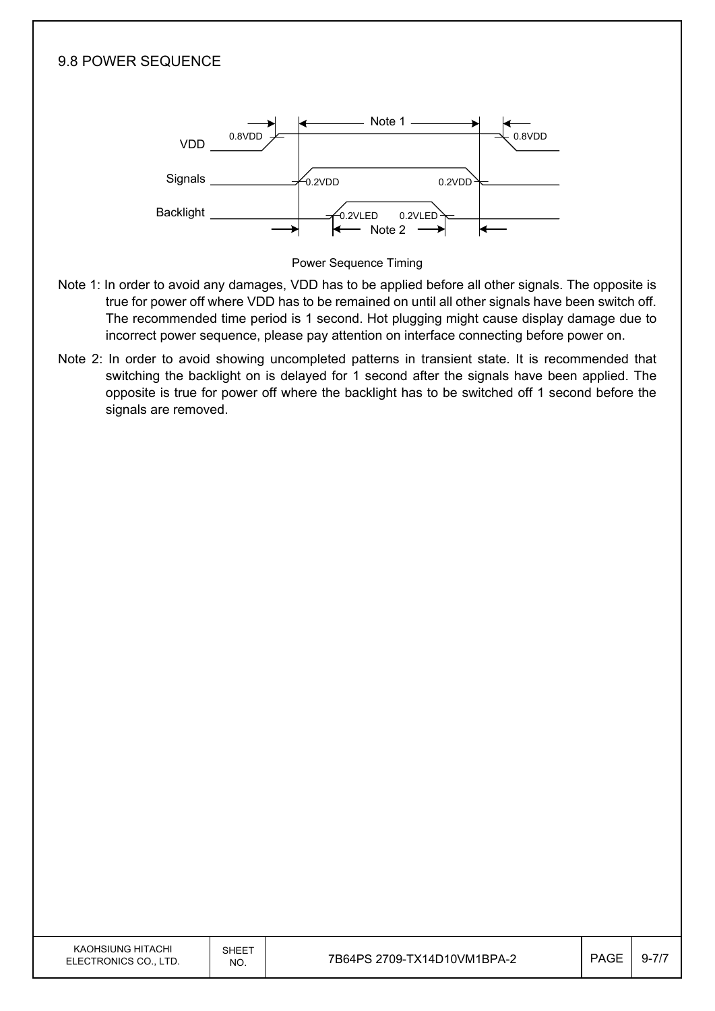

- true for power off where VDD has to be remained on until all other signals have been switch off. The recommended time period is 1 second. Hot plugging might cause display damage due to incorrect power sequence, please pay attention on interface connecting before power on.
- Note 2: In order to avoid showing uncompleted patterns in transient state. It is recommended that switching the backlight on is delayed for 1 second after the signals have been applied. The opposite is true for power off where the backlight has to be switched off 1 second before the signals are removed.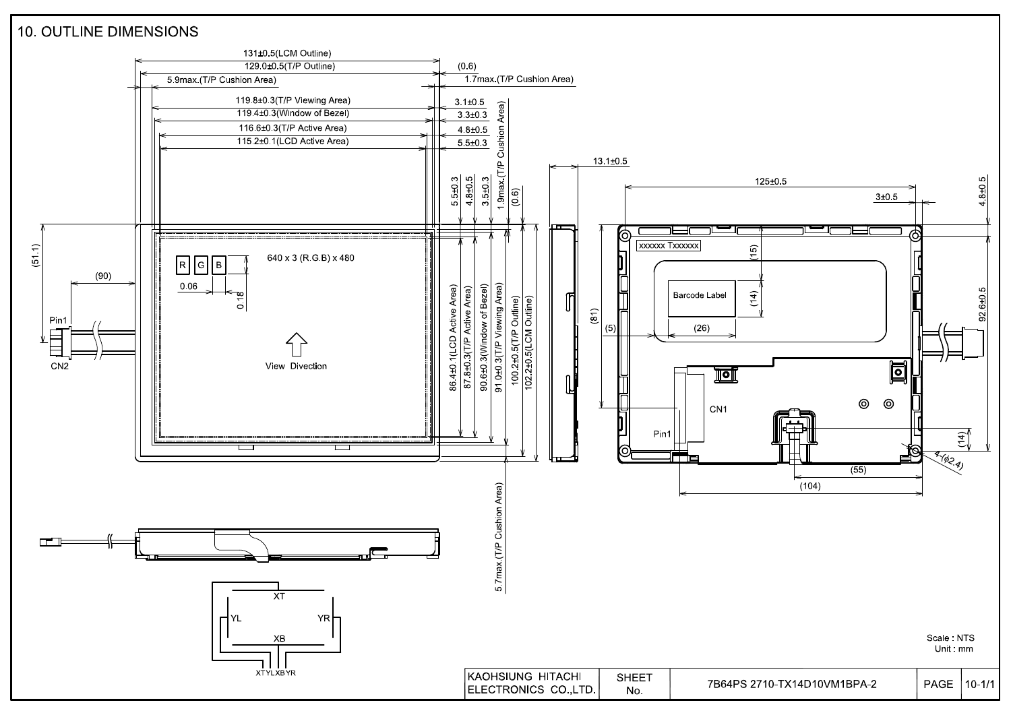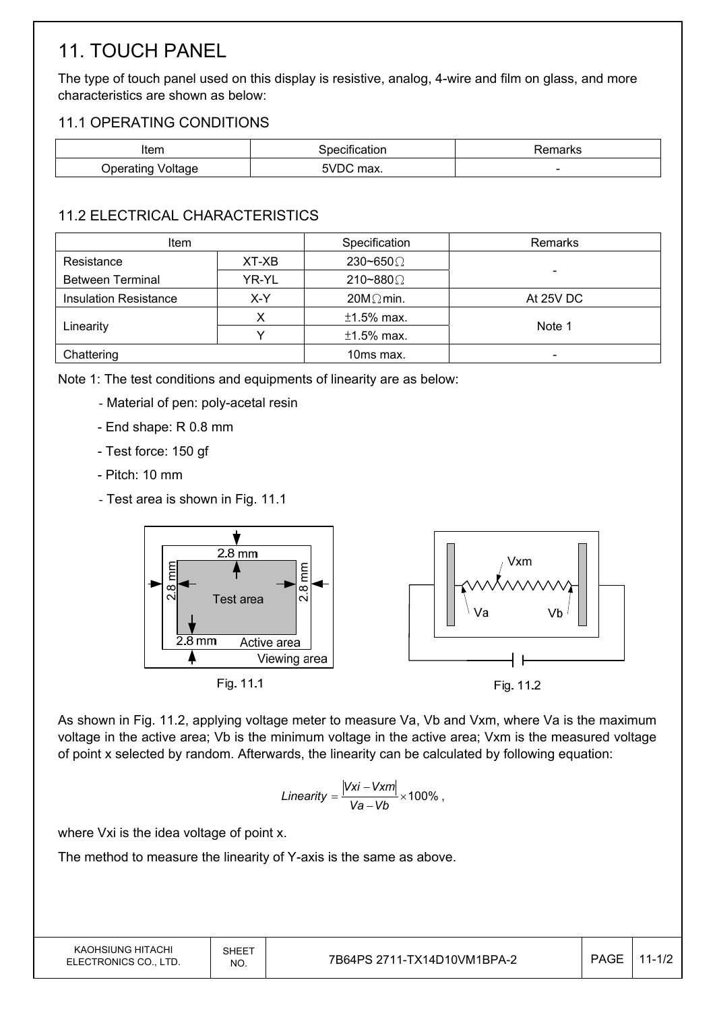# 11. TOUCH PANEL

The type of touch panel used on this display is resistive, analog, 4-wire and film on glass, and more characteristics are shown as below:

#### 11.1 OPERATING CONDITIONS

| Item      |                                 | arks<br>_____            |
|-----------|---------------------------------|--------------------------|
| )ner<br>. | mnv<br>,,,<br>''Id∧.<br>_______ | $\overline{\phantom{0}}$ |

#### 11.2 ELECTRICAL CHARACTERISTICS

| <b>Item</b>                  |       | Specification    | Remarks   |
|------------------------------|-------|------------------|-----------|
| Resistance                   | XT-XB | 230~650 $\Omega$ |           |
| <b>Between Terminal</b>      | YR-YL | 210~880 $\Omega$ |           |
| <b>Insulation Resistance</b> | X-Y   | $20M\Omega$ min. | At 25V DC |
|                              |       | $±1.5\%$ max.    | Note 1    |
| Linearity                    |       | $±1.5\%$ max.    |           |
| Chattering                   |       | 10ms max.        |           |

Note 1: The test conditions and equipments of linearity are as below:

- Material of pen: poly-acetal resin
- End shape: R 0.8 mm
- Test force: 150 gf
- Pitch: 10 mm
- Test area is shown in Fig. 11.1



As shown in Fig. 11.2, applying voltage meter to measure Va, Vb and Vxm, where Va is the maximum voltage in the active area; Vb is the minimum voltage in the active area; Vxm is the measured voltage of point x selected by random. Afterwards, the linearity can be calculated by following equation:

Linearity = 
$$
\frac{|Vxi - Vxm|}{Va - Vb} \times 100\%
$$
,

where Vxi is the idea voltage of point x.

The method to measure the linearity of Y-axis is the same as above.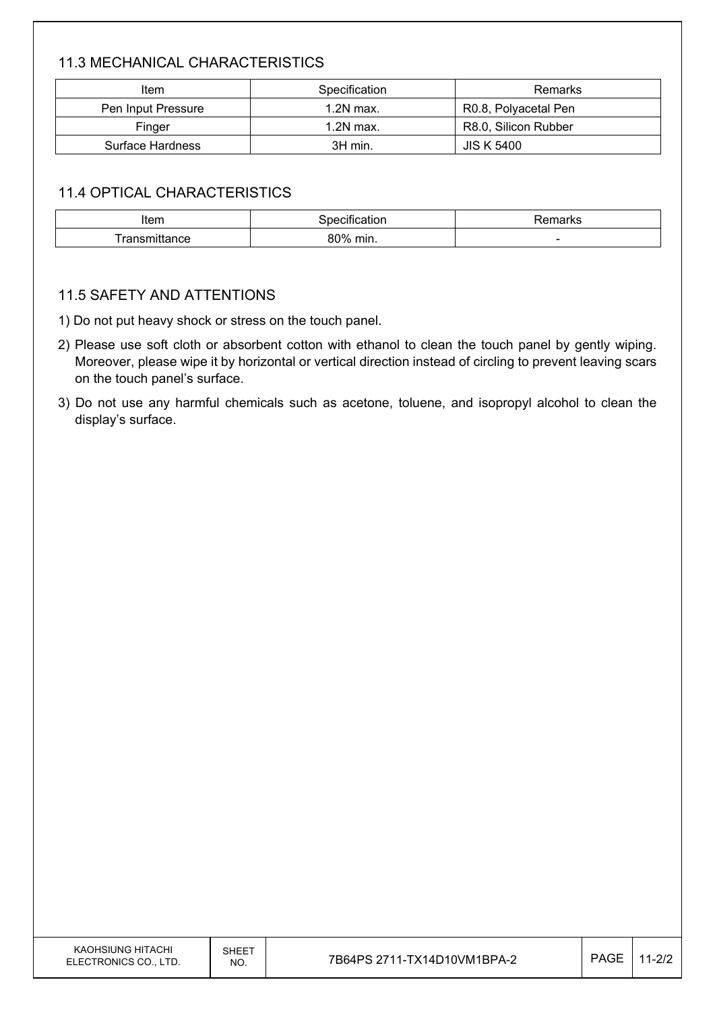#### 11.3 MECHANICAL CHARACTERISTICS

| Item               | Specification | Remarks              |
|--------------------|---------------|----------------------|
| Pen Input Pressure | $1.2N$ max.   | R0.8, Polyacetal Pen |
| Finger             | $1.2N$ max.   | R8.0, Silicon Rubber |
| Surface Hardness   | 3H min.       | <b>JIS K 5400</b>    |

#### 11.4 OPTICAL CHARACTERISTICS

| Item | ----        | maxmax<br>σπιαι κο |
|------|-------------|--------------------|
| ance | 80%<br>min. | -                  |

#### 11.5 SAFETY AND ATTENTIONS

1) Do not put heavy shock or stress on the touch panel.

- 2) Please use soft cloth or absorbent cotton with ethanol to clean the touch panel by gently wiping. Moreover, please wipe it by horizontal or vertical direction instead of circling to prevent leaving scars on the touch panel's surface.
- 3) Do not use any harmful chemicals such as acetone, toluene, and isopropyl alcohol to clean the display's surface.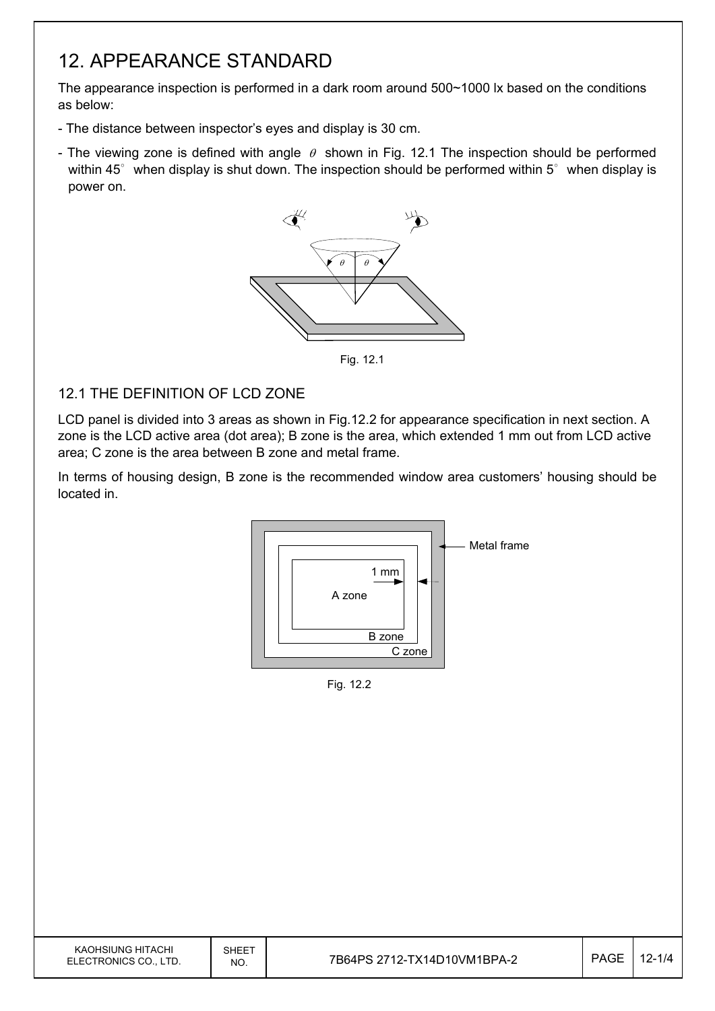### 12. APPEARANCE STANDARD

The appearance inspection is performed in a dark room around 500~1000 lx based on the conditions as below:

- The distance between inspector's eyes and display is 30 cm.
- The viewing zone is defined with angle  $\theta$  shown in Fig. 12.1 The inspection should be performed within 45 $\degree$  when display is shut down. The inspection should be performed within 5 $\degree$  when display is power on.



Fig. 12.1

#### 12.1 THE DEFINITION OF LCD ZONE

LCD panel is divided into 3 areas as shown in Fig.12.2 for appearance specification in next section. A zone is the LCD active area (dot area); B zone is the area, which extended 1 mm out from LCD active area; C zone is the area between B zone and metal frame.

In terms of housing design, B zone is the recommended window area customers' housing should be located in.



Fig. 12.2

| KAOHSIUNG HITACHI<br>ELECTRONICS CO., LTD. | SHEET<br>NO. | 7B64PS 2712-TX14D10VM1BPA-2 | <b>PAGE</b> | $12 - 1/4$ |
|--------------------------------------------|--------------|-----------------------------|-------------|------------|
|                                            |              |                             |             |            |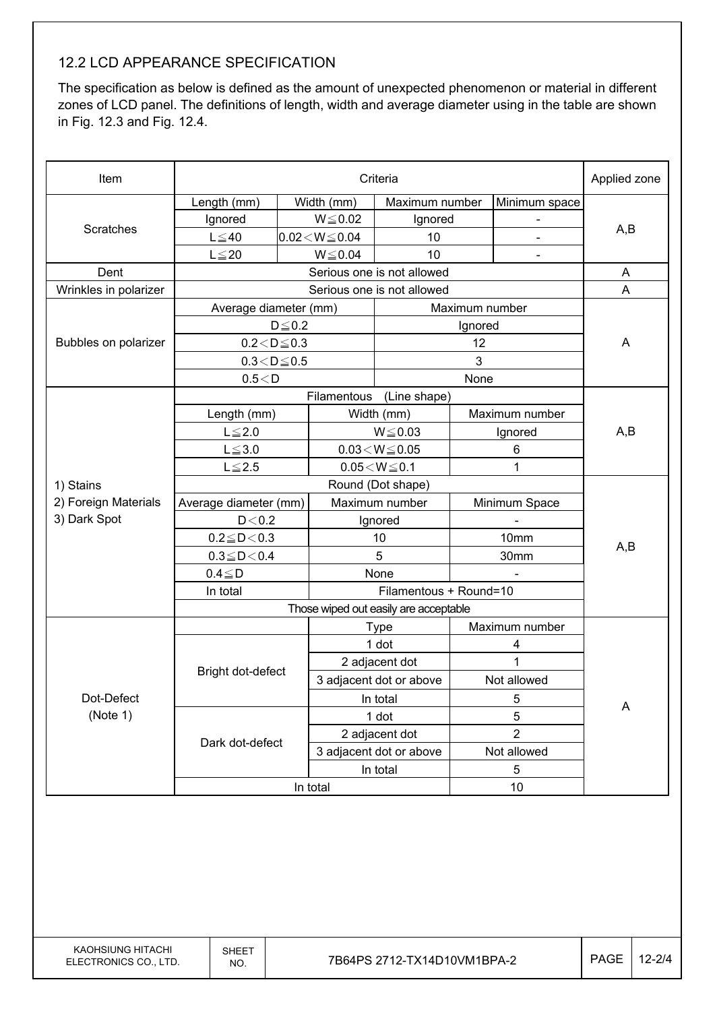#### 12.2 LCD APPEARANCE SPECIFICATION

The specification as below is defined as the amount of unexpected phenomenon or material in different zones of LCD panel. The definitions of length, width and average diameter using in the table are shown in Fig. 12.3 and Fig. 12.4.

| Item                  | Criteria               |              |                            |                                        | Applied zone   |                |     |
|-----------------------|------------------------|--------------|----------------------------|----------------------------------------|----------------|----------------|-----|
|                       | Length (mm)            |              | Width (mm)                 | Maximum number                         |                | Minimum space  |     |
|                       | Ignored                |              | $W \le 0.02$               | Ignored                                |                |                |     |
| Scratches             | $L \leq 40$            |              | $0.02\!<\!W\!\leq\!0.04$   | 10                                     |                |                | A,B |
|                       | $L \leq 20$            |              | $W \le 0.04$               | 10                                     |                | $\blacksquare$ |     |
| Dent                  |                        |              | Serious one is not allowed |                                        | A              |                |     |
| Wrinkles in polarizer |                        |              |                            | Serious one is not allowed             |                |                | A   |
|                       | Average diameter (mm)  |              |                            |                                        | Maximum number |                |     |
|                       |                        | $D \leq 0.2$ |                            |                                        | Ignored        |                |     |
| Bubbles on polarizer  | $0.2 < D \le 0.3$      |              |                            |                                        | 12             |                | A   |
|                       | $0.3\!<\!D\!\leq\!0.5$ |              |                            |                                        | 3              |                |     |
|                       | 0.5 < D                |              |                            |                                        | None           |                |     |
|                       |                        |              | Filamentous                | (Line shape)                           |                |                |     |
|                       | Length (mm)            |              |                            | Width (mm)                             |                | Maximum number |     |
|                       | $L \leq 2.0$           |              | $W \le 0.03$               |                                        | Ignored        |                | A,B |
|                       | $L \le 3.0$            |              | $0.03\!<\!W\!\leq\!0.05$   |                                        | 6              |                |     |
|                       | $L \le 2.5$            |              |                            | $0.05\!<\!W\!\leq\!0.1$                |                | 1              |     |
| 1) Stains             |                        |              |                            | Round (Dot shape)                      |                |                |     |
| 2) Foreign Materials  | Average diameter (mm)  |              | Maximum number             |                                        |                | Minimum Space  |     |
| 3) Dark Spot          | D < 0.2                |              | Ignored                    |                                        |                |                |     |
|                       | $0.2 \leq D < 0.3$     |              | 10                         |                                        |                | 10mm           | A,B |
|                       | $0.3 \leq D \leq 0.4$  |              | 5                          |                                        | 30mm           |                |     |
|                       | $0.4 \leq D$           |              | None                       |                                        |                |                |     |
|                       | In total               |              | Filamentous + Round=10     |                                        |                |                |     |
|                       |                        |              |                            | Those wiped out easily are acceptable  |                |                |     |
|                       |                        |              |                            | <b>Type</b>                            |                | Maximum number |     |
|                       |                        |              |                            | 1 dot                                  |                | 4              |     |
|                       | Bright dot-defect      |              |                            | 2 adjacent dot                         |                | 1              |     |
|                       |                        |              |                            | 3 adjacent dot or above<br>Not allowed |                |                |     |
| Dot-Defect            |                        |              | In total                   |                                        | 5              |                | A   |
| (Note 1)              |                        |              |                            | 1 dot                                  |                | 5              |     |
|                       | Dark dot-defect        |              |                            | 2 adjacent dot                         |                | $\overline{2}$ |     |
|                       |                        |              |                            | 3 adjacent dot or above                |                | Not allowed    |     |
|                       |                        |              | In total                   |                                        | 5              |                |     |
|                       |                        |              | In total                   |                                        |                | 10             |     |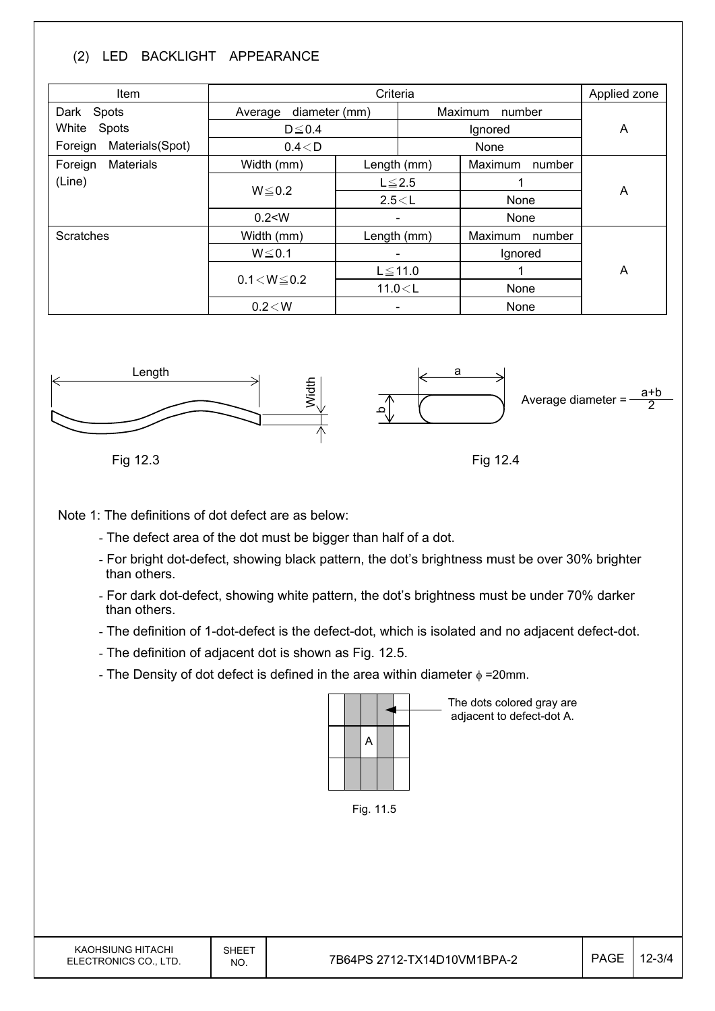#### (2) LED BACKLIGHT APPEARANCE

| Item                        |                          | Applied zone |                   |                   |   |  |
|-----------------------------|--------------------------|--------------|-------------------|-------------------|---|--|
| Dark Spots                  | diameter (mm)<br>Average |              | Maximum<br>number |                   |   |  |
| White<br>Spots              | $D \le 0.4$              |              |                   | Ignored           |   |  |
| Materials(Spot)<br>Foreign  | 0.4 < D                  |              |                   | None              |   |  |
| <b>Materials</b><br>Foreign | Width (mm)               |              | Length (mm)       | Maximum<br>number |   |  |
| (Line)                      | $W \le 0.2$              | $L \leq 2.5$ |                   |                   | A |  |
|                             |                          | 2.5 < L      |                   | None              |   |  |
|                             | 0.2 < W                  | Ξ.           |                   | None              |   |  |
| <b>Scratches</b>            | Width (mm)               | Length (mm)  |                   | Maximum<br>number |   |  |
|                             | $W \le 0.1$              |              |                   | Ignored           |   |  |
|                             | $0.1 < W \le 0.2$        |              | $L \le 11.0$      |                   | A |  |
|                             |                          | 11.0 < L     |                   | None              |   |  |
|                             | $0.2\!<\!W$              |              |                   | None              |   |  |



Fig 12.3

Fig 12.4

Note 1: The definitions of dot defect are as below:

- The defect area of the dot must be bigger than half of a dot.
- For bright dot-defect, showing black pattern, the dot's brightness must be over 30% brighter than others.
- For dark dot-defect, showing white pattern, the dot's brightness must be under 70% darker than others.
- The definition of 1-dot-defect is the defect-dot, which is isolated and no adjacent defect-dot.
- The definition of adjacent dot is shown as Fig. 12.5.
- The Density of dot defect is defined in the area within diameter  $\phi$  =20mm.



The dots colored gray are adjacent to defect-dot A.

Fig. 11.5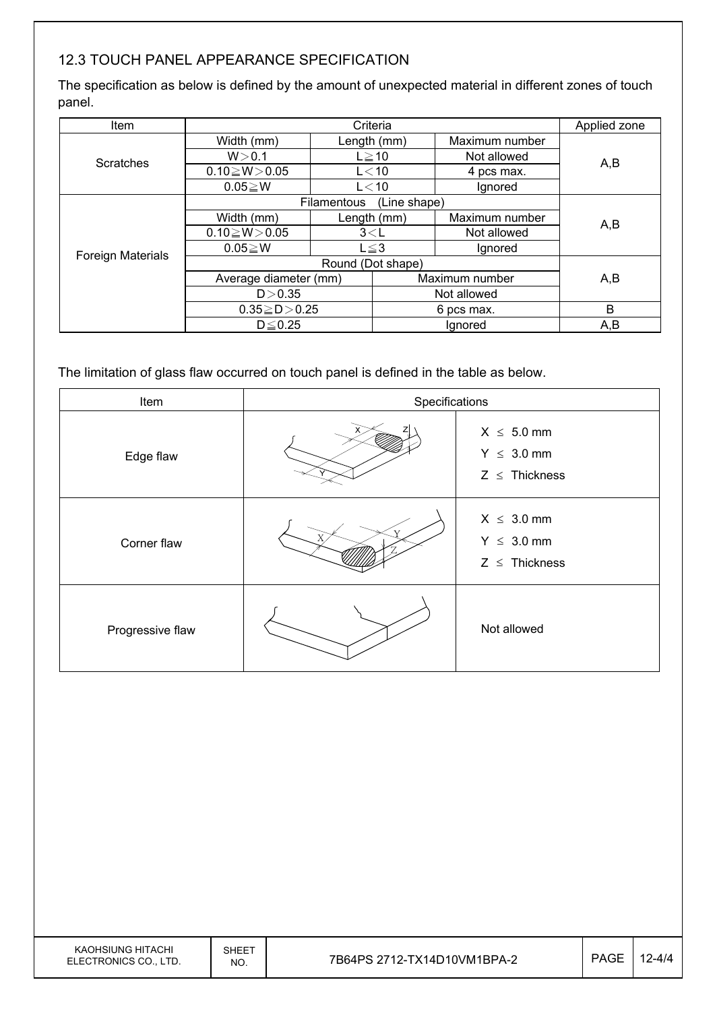#### 12.3 TOUCH PANEL APPEARANCE SPECIFICATION

The specification as below is defined by the amount of unexpected material in different zones of touch panel.

| Item                     | Criteria              |             |              | Applied zone   |     |
|--------------------------|-----------------------|-------------|--------------|----------------|-----|
|                          | Width (mm)            |             | Length (mm)  | Maximum number |     |
| <b>Scratches</b>         | W > 0.1               | $L \ge 10$  |              | Not allowed    | A,B |
|                          | $0.10 \ge W > 0.05$   |             | $L<$ 10      | 4 pcs max.     |     |
|                          | $0.05 \ge W$          |             | $L<$ 10      | Ignored        |     |
|                          |                       | Filamentous | (Line shape) |                |     |
|                          | Width (mm)            | Length (mm) |              | Maximum number | A,B |
|                          | $0.10 \ge W > 0.05$   | 3< L        |              | Not allowed    |     |
| <b>Foreign Materials</b> | $0.05 \ge W$          | $L \leq 3$  |              | Ignored        |     |
|                          |                       |             |              |                |     |
|                          | Average diameter (mm) |             |              | Maximum number | A,B |
|                          | D > 0.35              |             |              | Not allowed    |     |
|                          | $0.35 \ge D > 0.25$   |             | 6 pcs max.   |                | B   |
|                          | $D \leq 0.25$         |             | lgnored      |                | A,B |

The limitation of glass flaw occurred on touch panel is defined in the table as below.

| Item             | Specifications |                                                          |
|------------------|----------------|----------------------------------------------------------|
| Edge flaw        |                | $X \leq 5.0$ mm<br>$Y \leq 3.0$ mm<br>$Z \leq$ Thickness |
| Corner flaw      |                | $X \leq 3.0$ mm<br>$Y \leq 3.0$ mm<br>$Z \leq$ Thickness |
| Progressive flaw |                | Not allowed                                              |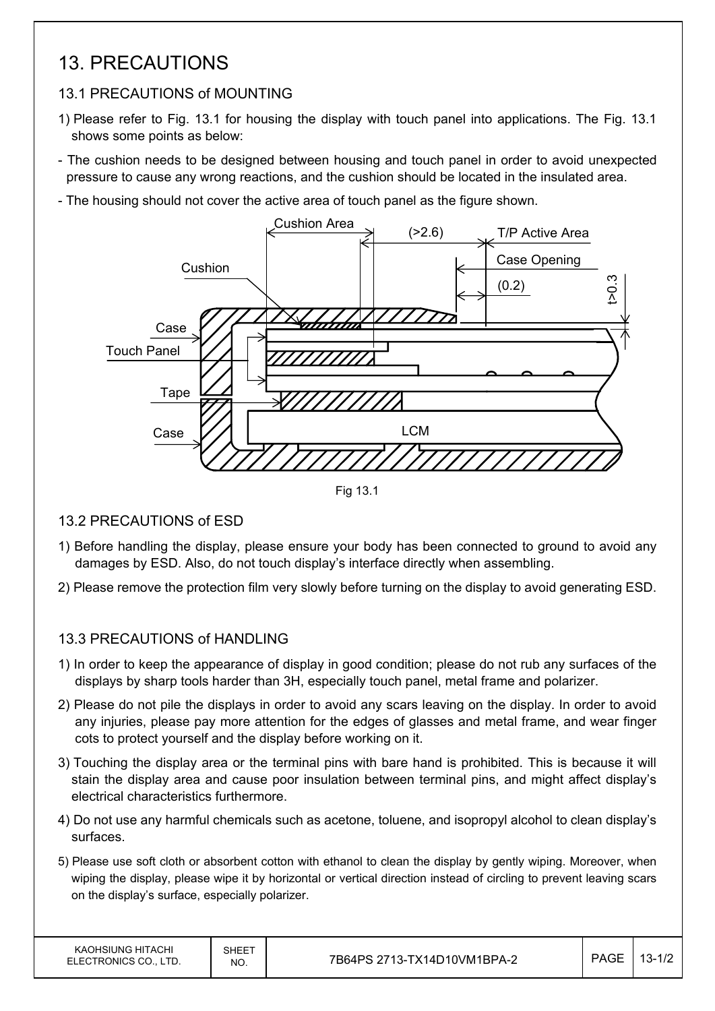### 13. PRECAUTIONS

#### 13.1 PRECAUTIONS of MOUNTING

- 1) Please refer to Fig. 13.1 for housing the display with touch panel into applications. The Fig. 13.1 shows some points as below:
- The cushion needs to be designed between housing and touch panel in order to avoid unexpected pressure to cause any wrong reactions, and the cushion should be located in the insulated area.
- The housing should not cover the active area of touch panel as the figure shown.



Fig 13.1

#### 13.2 PRECAUTIONS of ESD

- 1) Before handling the display, please ensure your body has been connected to ground to avoid any damages by ESD. Also, do not touch display's interface directly when assembling.
- 2) Please remove the protection film very slowly before turning on the display to avoid generating ESD.

#### 13.3 PRECAUTIONS of HANDLING

- 1) In order to keep the appearance of display in good condition; please do not rub any surfaces of the displays by sharp tools harder than 3H, especially touch panel, metal frame and polarizer.
- 2) Please do not pile the displays in order to avoid any scars leaving on the display. In order to avoid any injuries, please pay more attention for the edges of glasses and metal frame, and wear finger cots to protect yourself and the display before working on it.
- 3) Touching the display area or the terminal pins with bare hand is prohibited. This is because it will stain the display area and cause poor insulation between terminal pins, and might affect display's electrical characteristics furthermore.
- 4) Do not use any harmful chemicals such as acetone, toluene, and isopropyl alcohol to clean display's surfaces.
- 5) Please use soft cloth or absorbent cotton with ethanol to clean the display by gently wiping. Moreover, when wiping the display, please wipe it by horizontal or vertical direction instead of circling to prevent leaving scars on the display's surface, especially polarizer.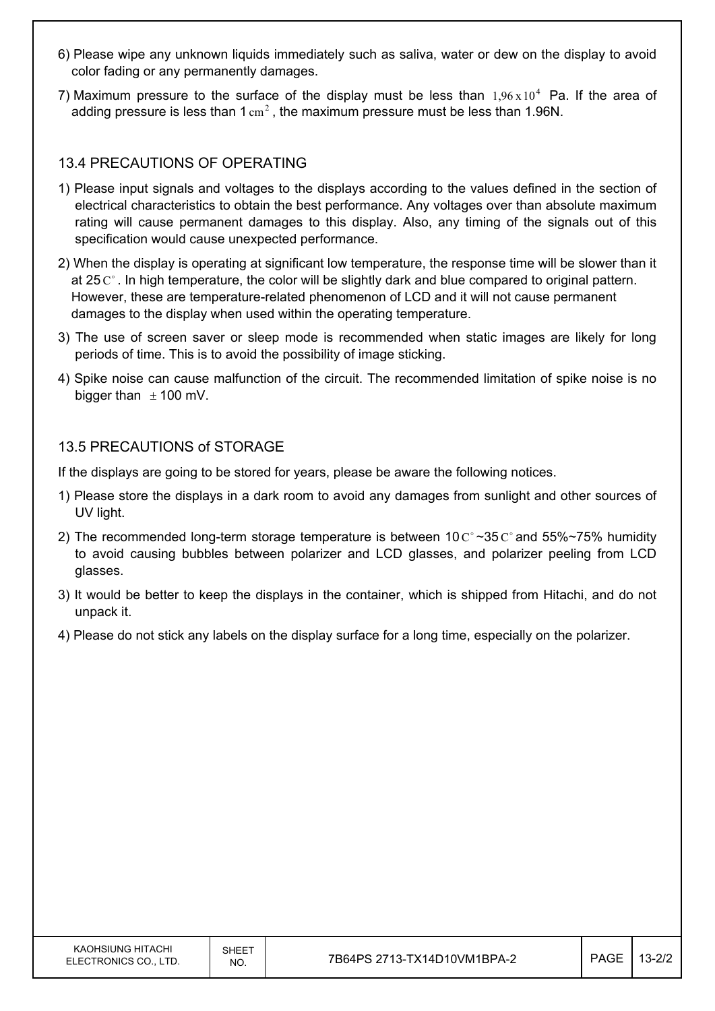- 6) Please wipe any unknown liquids immediately such as saliva, water or dew on the display to avoid color fading or any permanently damages.
- 7) Maximum pressure to the surface of the display must be less than  $1.96 \times 10^4$  Pa. If the area of adding pressure is less than  $1 \text{ cm}^2$ , the maximum pressure must be less than 1.96N.

#### 13.4 PRECAUTIONS OF OPERATING

- 1) Please input signals and voltages to the displays according to the values defined in the section of electrical characteristics to obtain the best performance. Any voltages over than absolute maximum rating will cause permanent damages to this display. Also, any timing of the signals out of this specification would cause unexpected performance.
- 2) When the display is operating at significant low temperature, the response time will be slower than it at 25  $\mathrm{C}^{\circ}$ . In high temperature, the color will be slightly dark and blue compared to original pattern. However, these are temperature-related phenomenon of LCD and it will not cause permanent damages to the display when used within the operating temperature.
- 3) The use of screen saver or sleep mode is recommended when static images are likely for long periods of time. This is to avoid the possibility of image sticking.
- 4) Spike noise can cause malfunction of the circuit. The recommended limitation of spike noise is no bigger than  $\pm$  100 mV.

#### 13.5 PRECAUTIONS of STORAGE

If the displays are going to be stored for years, please be aware the following notices.

- 1) Please store the displays in a dark room to avoid any damages from sunlight and other sources of UV light.
- 2) The recommended long-term storage temperature is between 10  $\text{C}^{\circ}$  ~35  $\text{C}^{\circ}$  and 55%~75% humidity to avoid causing bubbles between polarizer and LCD glasses, and polarizer peeling from LCD glasses.
- 3) It would be better to keep the displays in the container, which is shipped from Hitachi, and do not unpack it.
- 4) Please do not stick any labels on the display surface for a long time, especially on the polarizer.